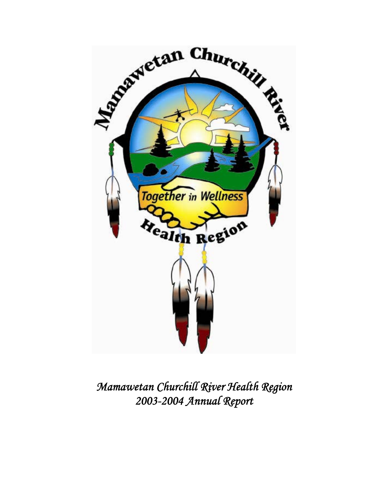

*Mamawetan Churchill River Health Region 2003-2004 Annual Report*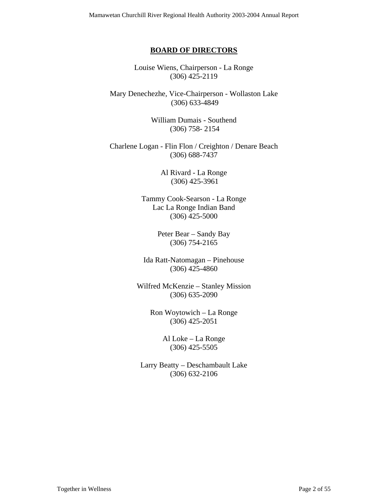#### **BOARD OF DIRECTORS**

Louise Wiens, Chairperson - La Ronge (306) 425-2119

Mary Denechezhe, Vice-Chairperson - Wollaston Lake (306) 633-4849

> William Dumais - Southend (306) 758- 2154

Charlene Logan - Flin Flon / Creighton / Denare Beach (306) 688-7437

> Al Rivard - La Ronge (306) 425-3961

Tammy Cook-Searson - La Ronge Lac La Ronge Indian Band (306) 425-5000

> Peter Bear – Sandy Bay (306) 754-2165

Ida Ratt-Natomagan – Pinehouse (306) 425-4860

Wilfred McKenzie – Stanley Mission (306) 635-2090

> Ron Woytowich – La Ronge (306) 425-2051

> > Al Loke – La Ronge (306) 425-5505

Larry Beatty – Deschambault Lake (306) 632-2106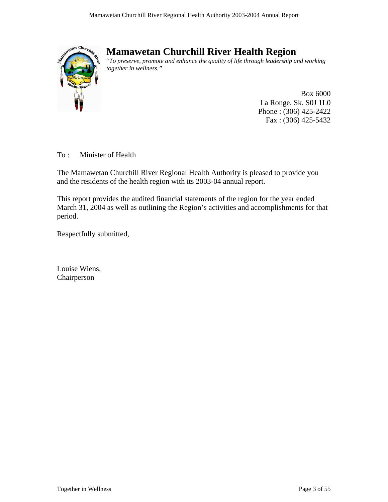

# **Mamawetan Churchill River Health Region**

"*To preserve, promote and enhance the quality of life through leadership and working together in wellness."* 

> Box 6000 La Ronge, Sk. S0J 1L0 Phone : (306) 425-2422 Fax : (306) 425-5432

To : Minister of Health

The Mamawetan Churchill River Regional Health Authority is pleased to provide you and the residents of the health region with its 2003-04 annual report.

This report provides the audited financial statements of the region for the year ended March 31, 2004 as well as outlining the Region's activities and accomplishments for that period.

Respectfully submitted,

Louise Wiens, Chairperson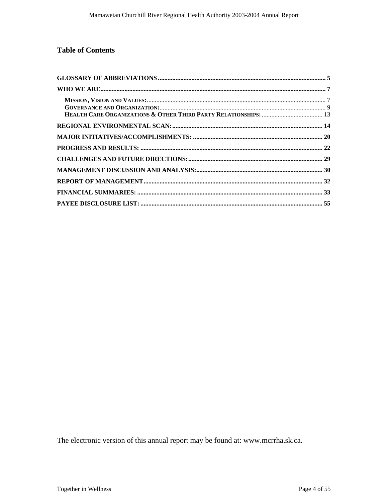### **Table of Contents**

The electronic version of this annual report may be found at: www.mcrrha.sk.ca.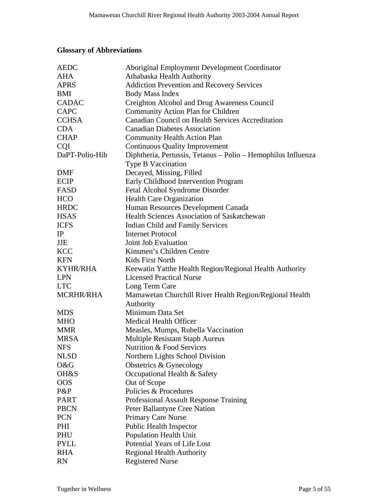## <span id="page-4-0"></span>**Glossary of Abbreviations**

| <b>AEDC</b>      | Aboriginal Employment Development Coordinator                 |
|------------------|---------------------------------------------------------------|
| <b>AHA</b>       | Athabaska Health Authority                                    |
| <b>APRS</b>      | <b>Addiction Prevention and Recovery Services</b>             |
| <b>BMI</b>       | <b>Body Mass Index</b>                                        |
| <b>CADAC</b>     | Creighton Alcohol and Drug Awareness Council                  |
| <b>CAPC</b>      | Community Action Plan for Children                            |
| <b>CCHSA</b>     | Canadian Council on Health Services Accreditation             |
| <b>CDA</b>       | <b>Canadian Diabetes Association</b>                          |
| <b>CHAP</b>      | <b>Community Health Action Plan</b>                           |
| <b>CQI</b>       | <b>Continuous Quality Improvement</b>                         |
| DaPT-Polio-Hib   | Diphtheria, Pertussis, Tetanus - Polio - Hemophilus Influenza |
|                  | <b>Type B Vaccination</b>                                     |
| <b>DMF</b>       | Decayed, Missing, Filled                                      |
| <b>ECIP</b>      | Early Childhood Intervention Program                          |
| FASD             | Fetal Alcohol Syndrome Disorder                               |
| <b>HCO</b>       | Health Care Organization                                      |
| <b>HRDC</b>      | Human Resources Development Canada                            |
| <b>HSAS</b>      | Health Sciences Association of Saskatchewan                   |
| <b>ICFS</b>      | Indian Child and Family Services                              |
| IP               | <b>Internet Protocol</b>                                      |
| <b>JJE</b>       | Joint Job Evaluation                                          |
| <b>KCC</b>       | Kinsmen's Children Centre                                     |
| <b>KFN</b>       | Kids First North                                              |
| <b>KYHR/RHA</b>  | Keewatin Yatthe Health Region/Regional Health Authority       |
| <b>LPN</b>       | <b>Licensed Practical Nurse</b>                               |
| <b>LTC</b>       | Long Term Care                                                |
| <b>MCRHR/RHA</b> | Mamawetan Churchill River Health Region/Regional Health       |
|                  | Authority                                                     |
| <b>MDS</b>       | Minimum Data Set                                              |
| <b>MHO</b>       | <b>Medical Health Officer</b>                                 |
| <b>MMR</b>       | Measles, Mumps, Rubella Vaccination                           |
| <b>MRSA</b>      | <b>Multiple Resistant Staph Aureus</b>                        |
| <b>NFS</b>       | <b>Nutrition &amp; Food Services</b>                          |
| <b>NLSD</b>      | Northern Lights School Division                               |
| O&G              | Obstetrics & Gynecology                                       |
| OH&S             | Occupational Health & Safety                                  |
| <b>OOS</b>       | Out of Scope                                                  |
| P&P              | Policies & Procedures                                         |
| <b>PART</b>      | Professional Assault Response Training                        |
| <b>PBCN</b>      | Peter Ballantyne Cree Nation                                  |
| <b>PCN</b>       | <b>Primary Care Nurse</b>                                     |
| PHI              | <b>Public Health Inspector</b>                                |
| PHU              | Population Health Unit                                        |
| <b>PYLL</b>      | Potential Years of Life Lost                                  |
| <b>RHA</b>       | <b>Regional Health Authority</b>                              |
| <b>RN</b>        | <b>Registered Nurse</b>                                       |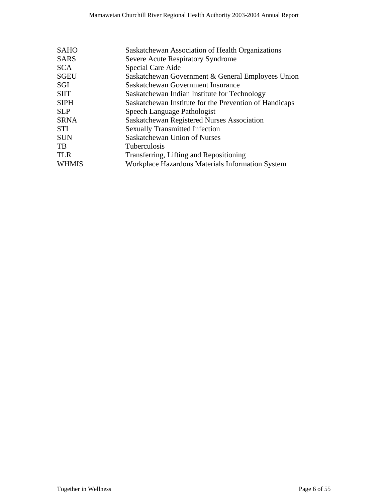| <b>SAHO</b>  | Saskatchewan Association of Health Organizations       |
|--------------|--------------------------------------------------------|
| <b>SARS</b>  | Severe Acute Respiratory Syndrome                      |
| <b>SCA</b>   | Special Care Aide                                      |
| <b>SGEU</b>  | Saskatchewan Government & General Employees Union      |
| <b>SGI</b>   | Saskatchewan Government Insurance                      |
| <b>SIIT</b>  | Saskatchewan Indian Institute for Technology           |
| <b>SIPH</b>  | Saskatchewan Institute for the Prevention of Handicaps |
| <b>SLP</b>   | Speech Language Pathologist                            |
| <b>SRNA</b>  | Saskatchewan Registered Nurses Association             |
| <b>STI</b>   | <b>Sexually Transmitted Infection</b>                  |
| <b>SUN</b>   | Saskatchewan Union of Nurses                           |
| TB           | <b>Tuberculosis</b>                                    |
| <b>TLR</b>   | Transferring, Lifting and Repositioning                |
| <b>WHMIS</b> | Workplace Hazardous Materials Information System       |
|              |                                                        |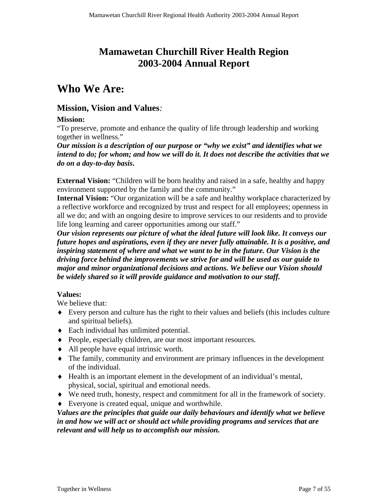# **Mamawetan Churchill River Health Region 2003-2004 Annual Report**

# <span id="page-6-0"></span>**Who We Are:**

### **Mission, Vision and Values***:*

### **Mission:**

"To preserve, promote and enhance the quality of life through leadership and working together in wellness."

*Our mission is a description of our purpose or "why we exist" and identifies what we intend to do; for whom; and how we will do it. It does not describe the activities that we do on a day-to-day basis***.** 

**External Vision:** "Children will be born healthy and raised in a safe, healthy and happy environment supported by the family and the community."

Internal Vision: "Our organization will be a safe and healthy workplace characterized by a reflective workforce and recognized by trust and respect for all employees; openness in all we do; and with an ongoing desire to improve services to our residents and to provide life long learning and career opportunities among our staff."

*Our vision represents our picture of what the ideal future will look like. It conveys our future hopes and aspirations, even if they are never fully attainable. It is a positive, and inspiring statement of where and what we want to be in the future. Our Vision is the driving force behind the improvements we strive for and will be used as our guide to major and minor organizational decisions and actions. We believe our Vision should be widely shared so it will provide guidance and motivation to our staff.* 

### **Values:**

We believe that:

- ♦ Every person and culture has the right to their values and beliefs (this includes culture and spiritual beliefs).
- ♦ Each individual has unlimited potential.
- ♦ People, especially children, are our most important resources.
- ♦ All people have equal intrinsic worth.
- ♦ The family, community and environment are primary influences in the development of the individual.
- ♦ Health is an important element in the development of an individual's mental, physical, social, spiritual and emotional needs.
- ♦ We need truth, honesty, respect and commitment for all in the framework of society.
- ♦ Everyone is created equal, unique and worthwhile.

*Values are the principles that guide our daily behaviours and identify what we believe in and how we will act or should act while providing programs and services that are relevant and will help us to accomplish our mission.*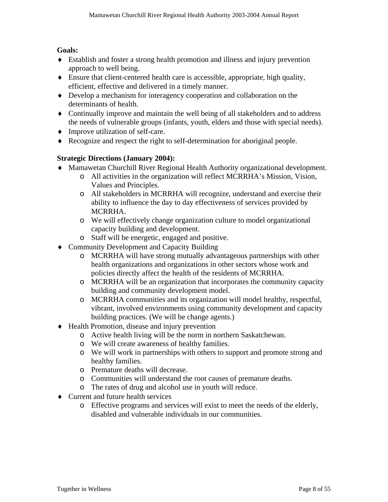### **Goals:**

- ♦ Establish and foster a strong health promotion and illness and injury prevention approach to well being.
- ♦ Ensure that client-centered health care is accessible, appropriate, high quality, efficient, effective and delivered in a timely manner.
- ♦ Develop a mechanism for interagency cooperation and collaboration on the determinants of health.
- ♦ Continually improve and maintain the well being of all stakeholders and to address the needs of vulnerable groups (infants, youth, elders and those with special needs).
- ♦ Improve utilization of self-care.
- ♦ Recognize and respect the right to self-determination for aboriginal people.

### **Strategic Directions (January 2004):**

- ♦ Mamawetan Churchill River Regional Health Authority organizational development.
	- o All activities in the organization will reflect MCRRHA's Mission, Vision, Values and Principles.
	- o All stakeholders in MCRRHA will recognize, understand and exercise their ability to influence the day to day effectiveness of services provided by MCRRHA.
	- o We will effectively change organization culture to model organizational capacity building and development.
	- o Staff will be energetic, engaged and positive.
- ♦ Community Development and Capacity Building
	- o MCRRHA will have strong mutually advantageous partnerships with other health organizations and organizations in other sectors whose work and policies directly affect the health of the residents of MCRRHA.
	- o MCRRHA will be an organization that incorporates the community capacity building and community development model.
	- o MCRRHA communities and its organization will model healthy, respectful, vibrant, involved environments using community development and capacity building practices. (We will be change agents.)
- ♦ Health Promotion, disease and injury prevention
	- o Active health living will be the norm in northern Saskatchewan.
	- o We will create awareness of healthy families.
	- o We will work in partnerships with others to support and promote strong and healthy families.
	- o Premature deaths will decrease.
	- o Communities will understand the root causes of premature deaths.
	- o The rates of drug and alcohol use in youth will reduce.
- ♦ Current and future health services
	- o Effective programs and services will exist to meet the needs of the elderly, disabled and vulnerable individuals in our communities.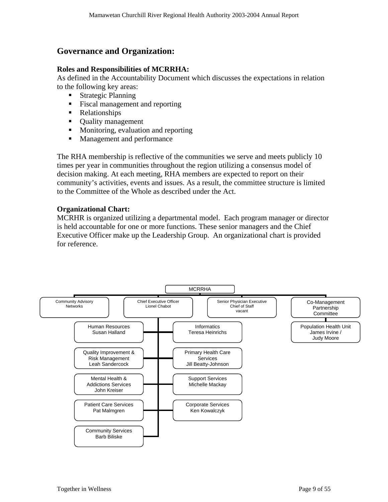### <span id="page-8-0"></span>**Governance and Organization:**

### **Roles and Responsibilities of MCRRHA:**

As defined in the Accountability Document which discusses the expectations in relation to the following key areas:

- **Strategic Planning**
- **Fiscal management and reporting**
- Relationships
- Quality management
- Monitoring, evaluation and reporting
- **Management and performance**

The RHA membership is reflective of the communities we serve and meets publicly 10 times per year in communities throughout the region utilizing a consensus model of decision making. At each meeting, RHA members are expected to report on their community's activities, events and issues. As a result, the committee structure is limited to the Committee of the Whole as described under the Act.

### **Organizational Chart:**

MCRHR is organized utilizing a departmental model. Each program manager or director is held accountable for one or more functions. These senior managers and the Chief Executive Officer make up the Leadership Group. An organizational chart is provided for reference.

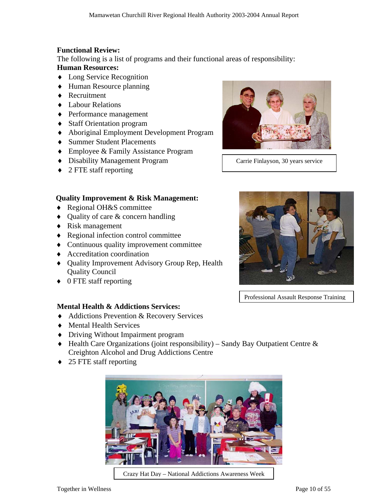### **Functional Review:**

The following is a list of programs and their functional areas of responsibility:

### **Human Resources:**

- ♦ Long Service Recognition
- ♦ Human Resource planning
- ♦ Recruitment
- ♦ Labour Relations
- ♦ Performance management
- ♦ Staff Orientation program
- ♦ Aboriginal Employment Development Program
- ♦ Summer Student Placements
- ♦ Employee & Family Assistance Program
- ♦ Disability Management Program
- ♦ 2 FTE staff reporting



Carrie Finlayson, 30 years service

### **Quality Improvement & Risk Management:**

- ♦ Regional OH&S committee
- ♦ Quality of care & concern handling
- ♦ Risk management
- ♦ Regional infection control committee
- ♦ Continuous quality improvement committee
- ♦ Accreditation coordination
- ♦ Quality Improvement Advisory Group Rep, Health Quality Council
- ♦ 0 FTE staff reporting

### **Mental Health & Addictions Services:**

- ♦ Addictions Prevention & Recovery Services
- ♦ Mental Health Services
- ♦ Driving Without Impairment program
- ♦ Health Care Organizations (joint responsibility) Sandy Bay Outpatient Centre & Creighton Alcohol and Drug Addictions Centre
- ♦ 25 FTE staff reporting



Crazy Hat Day – National Addictions Awareness Week



Professional Assault Response Training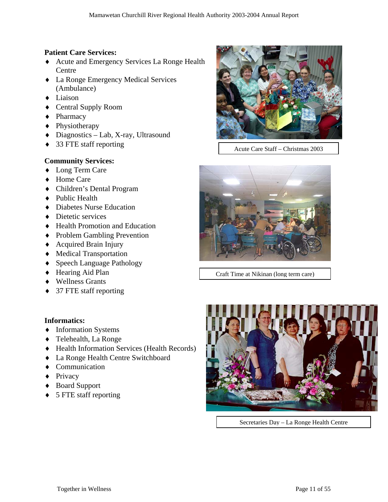### **Patient Care Services:**

- ♦ Acute and Emergency Services La Ronge Health **Centre**
- ♦ La Ronge Emergency Medical Services (Ambulance)
- ♦ Liaison
- ♦ Central Supply Room
- ♦ Pharmacy
- ♦ Physiotherapy
- ♦ Diagnostics Lab, X-ray, Ultrasound
- ♦ 33 FTE staff reporting

### **Community Services:**

- ♦ Long Term Care
- ♦ Home Care
- ♦ Children's Dental Program
- ♦ Public Health
- ♦ Diabetes Nurse Education
- ◆ Dietetic services
- ♦ Health Promotion and Education
- ♦ Problem Gambling Prevention
- ♦ Acquired Brain Injury
- ♦ Medical Transportation
- ♦ Speech Language Pathology
- ♦ Hearing Aid Plan
- ♦ Wellness Grants
- ♦ 37 FTE staff reporting

### **Informatics:**

- ♦ Information Systems
- ♦ Telehealth, La Ronge
- ♦ Health Information Services (Health Records)
- ♦ La Ronge Health Centre Switchboard
- ♦ Communication
- ♦ Privacy
- ♦ Board Support
- ♦ 5 FTE staff reporting



Acute Care Staff – Christmas 2003



Craft Time at Nikinan (long term care)



Secretaries Day – La Ronge Health Centre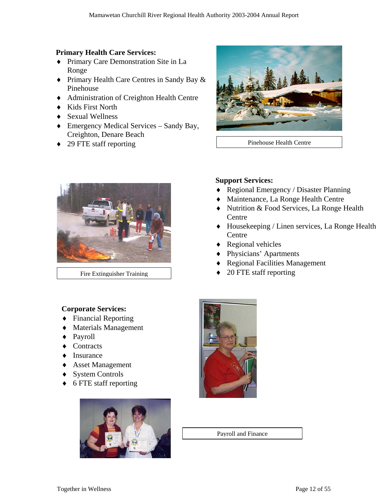### **Primary Health Care Services:**

- ♦ Primary Care Demonstration Site in La Ronge
- ♦ Primary Health Care Centres in Sandy Bay & Pinehouse
- ♦ Administration of Creighton Health Centre
- ♦ Kids First North
- ♦ Sexual Wellness
- ♦ Emergency Medical Services Sandy Bay, Creighton, Denare Beach
- ◆ 29 FTE staff reporting Pinehouse Health Centre





### **Support Services:**

- ♦ Regional Emergency / Disaster Planning
- ♦ Maintenance, La Ronge Health Centre
- ♦ Nutrition & Food Services, La Ronge Health **Centre**
- ♦ Housekeeping / Linen services, La Ronge Health Centre
- ♦ Regional vehicles
- ♦ Physicians' Apartments
- **Regional Facilities Management**
- Fire Extinguisher Training  $\overrightarrow{ }$  20 FTE staff reporting

### **Corporate Services:**

- ♦ Financial Reporting
- ♦ Materials Management
- Payroll
- ♦ Contracts
- **Insurance**
- ♦ Asset Management
- ◆ System Controls
- ♦ 6 FTE staff reporting





Payroll and Finance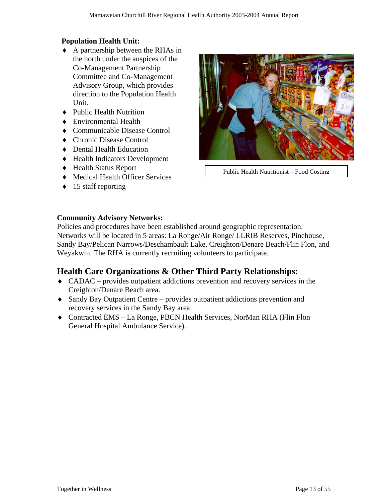### <span id="page-12-0"></span>**Population Health Unit:**

- ♦ A partnership between the RHAs in the north under the auspices of the Co-Management Partnership Committee and Co-Management Advisory Group, which provides direction to the Population Health Unit.
- ♦ Public Health Nutrition
- ♦ Environmental Health
- ♦ Communicable Disease Control
- ♦ Chronic Disease Control
- ♦ Dental Health Education
- ♦ Health Indicators Development
- ♦ Health Status Report
- ♦ Medical Health Officer Services
- ♦ 15 staff reporting



Public Health Nutritionist – Food Costing

### **Community Advisory Networks:**

Policies and procedures have been established around geographic representation. Networks will be located in 5 areas: La Ronge/Air Ronge/ LLRIB Reserves, Pinehouse, Sandy Bay/Pelican Narrows/Deschambault Lake, Creighton/Denare Beach/Flin Flon, and Weyakwin. The RHA is currently recruiting volunteers to participate.

### **Health Care Organizations & Other Third Party Relationships:**

- ♦ CADAC provides outpatient addictions prevention and recovery services in the Creighton/Denare Beach area.
- ♦ Sandy Bay Outpatient Centre provides outpatient addictions prevention and recovery services in the Sandy Bay area.
- ♦ Contracted EMS La Ronge, PBCN Health Services, NorMan RHA (Flin Flon General Hospital Ambulance Service).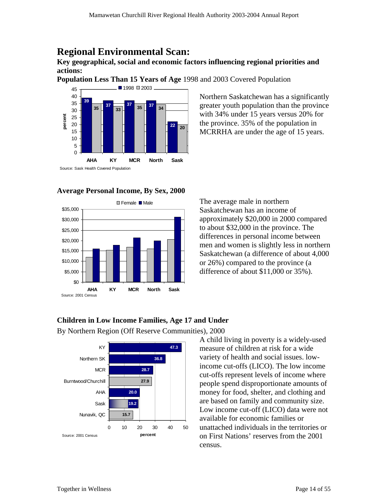## <span id="page-13-0"></span>**Regional Environmental Scan:**

**Key geographical, social and economic factors influencing regional priorities and actions:** 

**Population Less Than 15 Years of Age** 1998 and 2003 Covered Population



### **Average Personal Income, By Sex, 2000**



Northern Saskatchewan has a significantly MCRRHA are under the age of 15 years. greater youth population than the province with 34% under 15 years versus 20% for the province. 35% of the population in

The average male in northern Saskatchewan has an income of approximately \$20,000 in 2000 compared men and women is slightly less in northern Saskatchewan (a difference of about 4,000 to about \$32,000 in the province. The differences in personal income between or 26%) compared to the province (a difference of about \$11,000 or 35%).

### Children in Low Income Families, Age 17 and Under

By Northern Region (Off Reserve Communities), 2000



A child living in poverty is a widely-used  $f(x)$  **47.3 h** measure of children at risk for a wide income cut-offs (LICO). The low income cut-offs represent levels of income where on First Nations' reserves from the 2001 variety of health and social issues. lowpeople spend disproportionate amounts of money for food, shelter, and clothing and are based on family and community size. Low income cut-off (LICO) data were not available for economic families or unattached individuals in the territories or census.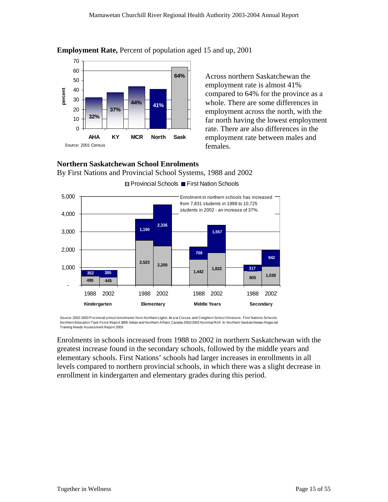

**Employment Rate,** Percent of population aged 15 and up, 2001

Across northern Saskatchewan the employment rate is almost 41% compared to 64% for the province as a whole. There are some differences in far north having the lowest employment employment across the north, with the rate. There are also differences in the employment rate between males and females.

### By First Nations and Provincial School Systems, 1988 and 2002 **Northern Saskatchewan School Enrolments**



Source: 2002-2003 Provincial school enrolments from Northern Lights, Ile a la Crosse, and Creighton School Divisions. First Nations Schools: Northern Education Task Force Report 1989, Indian and Northern Affairs Canada 2002/2003 Nominal Roll. In: Northern Saskatchewan Regional Training Needs Assessment Report 2003

Enrolments in schools increased from 1988 to 2002 in northern Saskatchewan with the greatest increase found in the secondary schools, followed by the middle years and levels compared to northern provincial schools, in which there was a slight decrease in elementary schools. First Nations' schools had larger increases in enrollments in all enrollment in kindergarten and elementary grades during this period.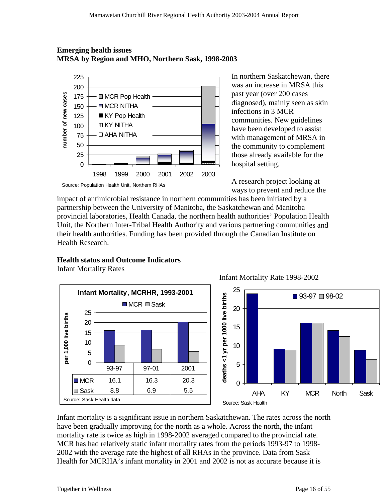### **Emerging health issues RSA by Region and MHO, Northern Sask, 1998-2003 M**



In northern Saskatchewan, there was an increase in MRSA this have been developed to assist past year (over 200 cases diagnosed), mainly seen as skin infections in 3 MCR communities. New guidelines with management of MRSA in the community to complement those already available for the hospital setting.

A research project looking at ways to prevent and reduce the

impact of antimicrobial resistance in northern communities has been initiated by a partnership between the University of Manitoba, the Sask atchewan and Manitoba provincial laboratories, Health Canada, the northern health authorities' Population Health Unit, the Northern Inter-Tribal Health Authority and various partnering communities and their health authorities. Funding has been provided through the Canadian Institute on Health Research.

### **Health status and Outcome Indicators**

Infant Mortality Rates



Infant Mortality Rate 1998-2002



have been gradually improving for the north as a whole. Across the north, the infant - MCR has had relatively static infant mortality rates from the periods 1993-97 to 1998 Infant mortality is a significant issue in northern Saskatchewan. The rates across the north mortality rate is twice as high in 1998-2002 averaged compared to the provincial rate. 2002 with the average rate the highest of all RHAs in the province. Data from Sask Health for MCRHA's infant mortality in 2001 and 2002 is not as accurate because it is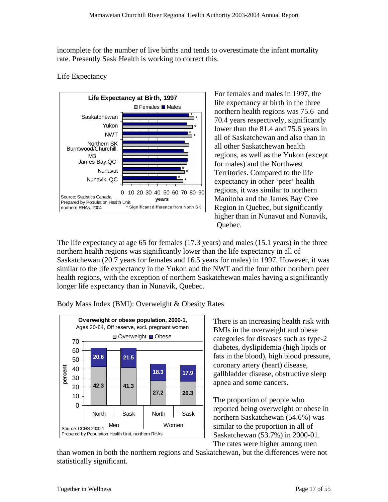incomplete for the number of live births and tends to overestimate the infant mortality rate. Presently Sask Health is working to correct this.

### Life Expectancy



For females and males in 1997, the life expectancy at birth in the three expectancy in other 'peer' health higher than in Nunavut and Nunavik, northern health regions was 75.6 and 70.4 years respectively, significantly lower than the 81.4 and 75.6 years in all of Saskatchewan and also than in all other Saskatchewan health regions, as well as the Yukon (except for males) and the Northwest Territories. Compared to the life regions, it was similar to northern Manitoba and the James Bay Cree Region in Quebec, but significantly Quebec.

The life expectancy at age 65 for females  $(17.3 \text{ years})$  and males  $(15.1 \text{ years})$  in the three northern health regions was significantly lower than the life expectancy in all of similar to the life expectancy in the Yukon and the NWT and the four other northern peer Saskatchewan (20.7 years for females and 16.5 years for males) in 1997. However, it was health regions, with the exception of northern Saskatchewan males having a significantly longer life expectancy than in Nunavik, Quebec.

Body Mass Index (BMI): Overweight & Obesity Rates



There is an increasing health risk with MIs in the overweight and obese B diabetes, dyslipidemia (high lipids or gallbladder disease, obstructive sleep categories for diseases such as type-2 fats in the blood), high blood pressure, coronary artery (heart) disease, apnea and some cancers.

reported being overweight or obese in northern Saskatchewan (54.6%) was similar to the proportion in all of The proportion of people who Saskatchewan (53.7%) in 2000-01. The rates were higher among men

than women in both the northern regions and Saskatchewan, but the differences were not statistically significant.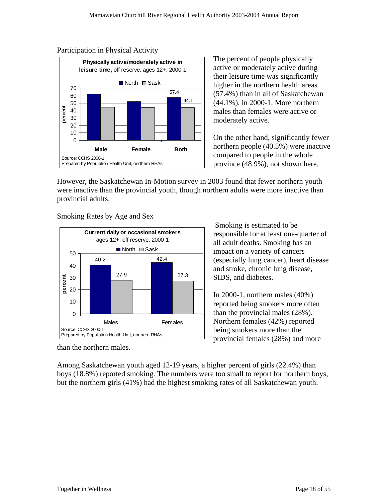### Participation in Physical Activity



The percent of people physically active or moderately active during their leisure time was significantly higher in the northern health areas (57.4%) than in all of Saskatchewan (44.1%), in 2000-1. More northern males than females were active or moderately active.

On the other hand, significantly fewer northern people  $(40.5%)$  were inactive province (48.9%), not shown here. compared to people in the whole

However, the Saskatchewan In-Motion survey in 2003 found that fewer northern youth were inactive than the provincial youth, though northern adults were more inactive than provincial adults.

Smoking Rates by Age and Sex



 Smoking is estimated to be responsible for at least one-quarter of all adult deaths. Smoking has an impact on a variety of cancers (especially lung cancer), heart disease and stroke, chronic lung disease, SIDS, and diabetes.

reported being smokers more often than the provincial males  $(28%)$ . In 2000-1, northern males (40%) Northern females (42%) reported being smokers more than the provincial females (28%) and more

than the northern males.

Among Saskatchewan youth aged 12-19 years, a higher percent of girls (22.4%) than boys (18.8%) reported smoking. The numbers were too small to report for northern boys, but the northern girls (41%) had the highest smoking rates of all Saskatchewan youth.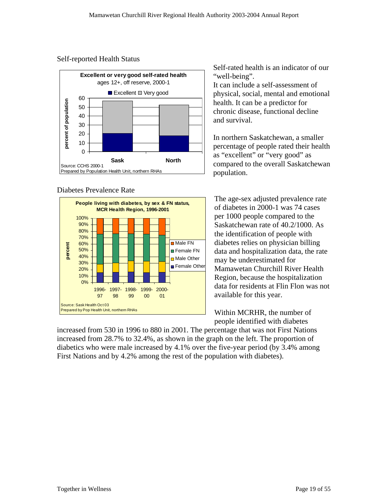### Self-reported Health Status



### Diabetes Prevalence Rate



Self-rated health is an indicator of our

It can include a self-assessment of physical, social, mental and emotional health. It can be a predictor for chronic disease, functional decline and survival.

In northern Saskatchewan, a smaller percentage of people rated their health as "excellent" or "very good" as compared to the overall Saskatchewan population.

The age-sex adjusted prevalence rate of diabetes in 2000-1 was 74 cases per 1000 people compared to the Saskatchewan rate of 40.2/1000. As the identification of people with diabetes relies on physician billing data and hospitalization data, the rate may be underestimated for Mamawetan Churchill River Health Region, because the hospitalization data for residents at Flin Flon was not available for this year.

Within MCRHR, the number of people identified with diabetes

increased from 530 in 1996 to 880 in 2001. The percentage that was not First Nations increased from 28.7% to 32.4%, as shown in the graph on the left. The proportion of diabetics who were male increased by 4.1% over the five-year period (by 3.4% among First Nations and by 4.2% among the rest of the population with diabetes).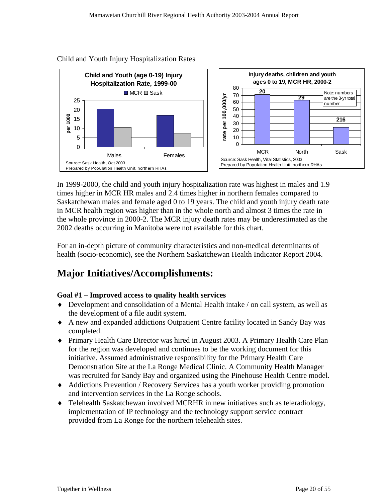

#### <span id="page-19-0"></span>Child and Youth Injury Hospitalization Rates

In 1999-2000, the child and youth injury hospitalization rate was highest in males and 1.9 times higher in MCR HR males and 2.4 times higher in northern females compared to Saskatchewan males and female aged 0 to 19 years. The child and youth injury death rate in MCR health region was higher than in the whole north and almost 3 times the rate in the whole province in 2000-2. The MCR injury death rates may be underestimated as the 2002 deaths occurring in Manitoba were not available for this chart.

For an in-depth picture of community characteristics and non-medical determinants of health (socio-economic), see the Northern Saskatchewan Health Indicator Report 2004.

## **Major Initiatives/Accomplishments:**

### **Goal #1 – Improved access to quality health services**

- ♦ Development and consolidation of a Mental Health intake / on call system, as well as the development of a file audit system.
- ♦ A new and expanded addictions Outpatient Centre facility located in Sandy Bay was completed.
- ♦ Primary Health Care Director was hired in August 2003. A Primary Health Care Plan for the region was developed and continues to be the working document for this initiative. Assumed administrative responsibility for the Primary Health Care Demonstration Site at the La Ronge Medical Clinic. A Community Health Manager was recruited for Sandy Bay and organized using the Pinehouse Health Centre model.
- ♦ Addictions Prevention / Recovery Services has a youth worker providing promotion and intervention services in the La Ronge schools.
- ♦ Telehealth Saskatchewan involved MCRHR in new initiatives such as teleradiology, implementation of IP technology and the technology support service contract provided from La Ronge for the northern telehealth sites.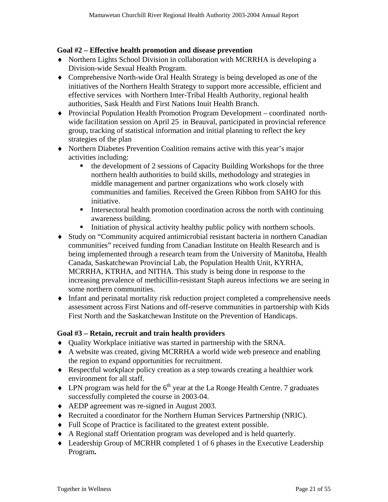### **Goal #2 – Effective health promotion and disease prevention**

- ♦ Northern Lights School Division in collaboration with MCRRHA is developing a Division-wide Sexual Health Program.
- ♦ Comprehensive North-wide Oral Health Strategy is being developed as one of the initiatives of the Northern Health Strategy to support more accessible, efficient and effective services with Northern Inter-Tribal Health Authority, regional health authorities, Sask Health and First Nations Inuit Health Branch.
- ♦ Provincial Population Health Promotion Program Development coordinated northwide facilitation session on April 25 in Beauval, participated in provincial reference group, tracking of statistical information and initial planning to reflect the key strategies of the plan
- ♦ Northern Diabetes Prevention Coalition remains active with this year's major activities including:
	- the development of 2 sessions of Capacity Building Workshops for the three northern health authorities to build skills, methodology and strategies in middle management and partner organizations who work closely with communities and families. Received the Green Ribbon from SAHO for this initiative.
	- Intersectoral health promotion coordination across the north with continuing awareness building.
	- Initiation of physical activity healthy public policy with northern schools.
- ♦ Study on "Community acquired antimicrobial resistant bacteria in northern Canadian communities" received funding from Canadian Institute on Health Research and is being implemented through a research team from the University of Manitoba, Health Canada, Saskatchewan Provincial Lab, the Population Health Unit, KYRHA, MCRRHA, KTRHA, and NITHA. This study is being done in response to the increasing prevalence of methicillin-resistant Staph aureus infections we are seeing in some northern communities.
- ♦ Infant and perinatal mortality risk reduction project completed a comprehensive needs assessment across First Nations and off-reserve communities in partnership with Kids First North and the Saskatchewan Institute on the Prevention of Handicaps.

### **Goal #3 – Retain, recruit and train health providers**

- ♦ Quality Workplace initiative was started in partnership with the SRNA.
- ♦ A website was created, giving MCRRHA a world wide web presence and enabling the region to expand opportunities for recruitment.
- ♦ Respectful workplace policy creation as a step towards creating a healthier work environment for all staff.
- $\blacklozenge$  LPN program was held for the 6<sup>th</sup> year at the La Ronge Health Centre. 7 graduates successfully completed the course in 2003-04.
- ♦ AEDP agreement was re-signed in August 2003.
- ♦ Recruited a coordinator for the Northern Human Services Partnership (NRIC).
- ♦ Full Scope of Practice is facilitated to the greatest extent possible.
- ♦ A Regional staff Orientation program was developed and is held quarterly.
- ♦ Leadership Group of MCRHR completed 1 of 6 phases in the Executive Leadership Program**.**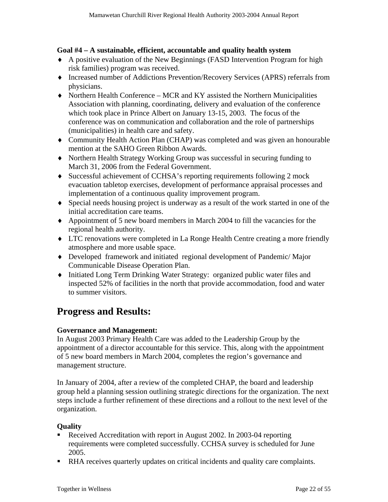### <span id="page-21-0"></span>**Goal #4 – A sustainable, efficient, accountable and quality health system**

- ♦ A positive evaluation of the New Beginnings (FASD Intervention Program for high risk families) program was received.
- ♦ Increased number of Addictions Prevention/Recovery Services (APRS) referrals from physicians.
- ♦ Northern Health Conference MCR and KY assisted the Northern Municipalities Association with planning, coordinating, delivery and evaluation of the conference which took place in Prince Albert on January 13-15, 2003. The focus of the conference was on communication and collaboration and the role of partnerships (municipalities) in health care and safety.
- ♦ Community Health Action Plan (CHAP) was completed and was given an honourable mention at the SAHO Green Ribbon Awards.
- ♦ Northern Health Strategy Working Group was successful in securing funding to March 31, 2006 from the Federal Government.
- ♦ Successful achievement of CCHSA's reporting requirements following 2 mock evacuation tabletop exercises, development of performance appraisal processes and implementation of a continuous quality improvement program.
- ♦ Special needs housing project is underway as a result of the work started in one of the initial accreditation care teams.
- ♦ Appointment of 5 new board members in March 2004 to fill the vacancies for the regional health authority.
- ♦ LTC renovations were completed in La Ronge Health Centre creating a more friendly atmosphere and more usable space.
- ♦ Developed framework and initiated regional development of Pandemic/ Major Communicable Disease Operation Plan.
- ♦ Initiated Long Term Drinking Water Strategy: organized public water files and inspected 52% of facilities in the north that provide accommodation, food and water to summer visitors.

# **Progress and Results:**

### **Governance and Management:**

In August 2003 Primary Health Care was added to the Leadership Group by the appointment of a director accountable for this service. This, along with the appointment of 5 new board members in March 2004, completes the region's governance and management structure.

In January of 2004, after a review of the completed CHAP, the board and leadership group held a planning session outlining strategic directions for the organization. The next steps include a further refinement of these directions and a rollout to the next level of the organization.

### **Quality**

- Received Accreditation with report in August 2002. In 2003-04 reporting requirements were completed successfully. CCHSA survey is scheduled for June 2005.
- RHA receives quarterly updates on critical incidents and quality care complaints.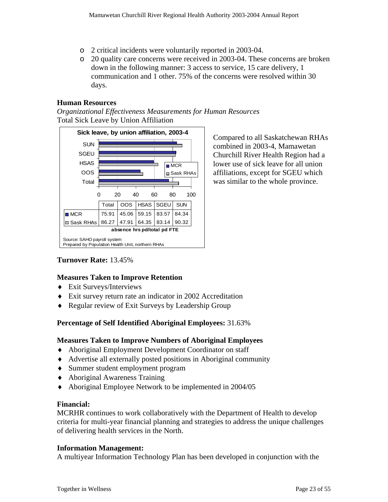- o 2 critical incidents were voluntarily reported in 2003-04.
- o 20 quality care concerns were received in 2003-04. These concerns are broken down in the following manner: 3 access to service, 15 care delivery, 1 communication and 1 other. 75% of the concerns were resolved within 30 days.

### **Human Resources**

*Organizational Effectiveness Measurements for Human Resources*  Total Sick Leave by Union Affiliation



Compared to all Saskatchewan RHAs combined in 2003-4, Mamawetan Churchill River Health Region had a lower use of sick leave for all union affiliations, except for SGEU which was similar to the whole province.

### **Turnover Rate:** 13.45%

### **Measures Taken to Improve Retention**

- ♦ Exit Surveys/Interviews
- ♦ Exit survey return rate an indicator in 2002 Accreditation
- ♦ Regular review of Exit Surveys by Leadership Group

### **Percentage of Self Identified Aboriginal Employees:** 31.63%

### **Measures Taken to Improve Numbers of Aboriginal Employees**

- ♦ Aboriginal Employment Development Coordinator on staff
- ♦ Advertise all externally posted positions in Aboriginal community
- ♦ Summer student employment program
- ♦ Aboriginal Awareness Training
- Aboriginal Employee Network to be implemented in 2004/05

### **Financial:**

MCRHR continues to work collaboratively with the Department of Health to develop criteria for multi-year financial planning and strategies to address the unique challenges of delivering health services in the North.

### **Information Management:**

A multiyear Information Technology Plan has been developed in conjunction with the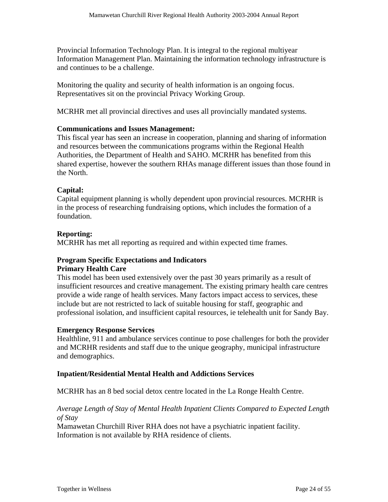Provincial Information Technology Plan. It is integral to the regional multiyear Information Management Plan. Maintaining the information technology infrastructure is and continues to be a challenge.

Monitoring the quality and security of health information is an ongoing focus. Representatives sit on the provincial Privacy Working Group.

MCRHR met all provincial directives and uses all provincially mandated systems.

### **Communications and Issues Management:**

This fiscal year has seen an increase in cooperation, planning and sharing of information and resources between the communications programs within the Regional Health Authorities, the Department of Health and SAHO. MCRHR has benefited from this shared expertise, however the southern RHAs manage different issues than those found in the North.

### **Capital:**

Capital equipment planning is wholly dependent upon provincial resources. MCRHR is in the process of researching fundraising options, which includes the formation of a foundation.

### **Reporting:**

MCRHR has met all reporting as required and within expected time frames.

### **Program Specific Expectations and Indicators**

### **Primary Health Care**

This model has been used extensively over the past 30 years primarily as a result of insufficient resources and creative management. The existing primary health care centres provide a wide range of health services. Many factors impact access to services, these include but are not restricted to lack of suitable housing for staff, geographic and professional isolation, and insufficient capital resources, ie telehealth unit for Sandy Bay.

### **Emergency Response Services**

Healthline, 911 and ambulance services continue to pose challenges for both the provider and MCRHR residents and staff due to the unique geography, municipal infrastructure and demographics.

### **Inpatient/Residential Mental Health and Addictions Services**

MCRHR has an 8 bed social detox centre located in the La Ronge Health Centre.

### *Average Length of Stay of Mental Health Inpatient Clients Compared to Expected Length of Stay*

Mamawetan Churchill River RHA does not have a psychiatric inpatient facility. Information is not available by RHA residence of clients.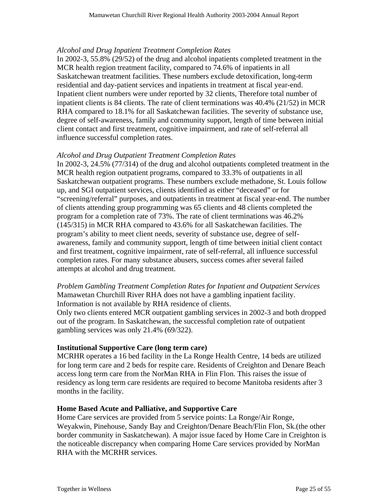### *Alcohol and Drug Inpatient Treatment Completion Rates*

In 2002-3, 55.8% (29/52) of the drug and alcohol inpatients completed treatment in the MCR health region treatment facility, compared to 74.6% of inpatients in all Saskatchewan treatment facilities. These numbers exclude detoxification, long-term residential and day-patient services and inpatients in treatment at fiscal year-end. Inpatient client numbers were under reported by 32 clients, Therefore total number of inpatient clients is 84 clients. The rate of client terminations was 40.4% (21/52) in MCR RHA compared to 18.1% for all Saskatchewan facilities. The severity of substance use, degree of self-awareness, family and community support, length of time between initial client contact and first treatment, cognitive impairment, and rate of self-referral all influence successful completion rates.

### *Alcohol and Drug Outpatient Treatment Completion Rates*

In 2002-3, 24.5% (77/314) of the drug and alcohol outpatients completed treatment in the MCR health region outpatient programs, compared to 33.3% of outpatients in all Saskatchewan outpatient programs. These numbers exclude methadone, St. Louis follow up, and SGI outpatient services, clients identified as either "deceased" or for "screening/referral" purposes, and outpatients in treatment at fiscal year-end. The number of clients attending group programming was 65 clients and 48 clients completed the program for a completion rate of 73%. The rate of client terminations was 46.2% (145/315) in MCR RHA compared to 43.6% for all Saskatchewan facilities. The program's ability to meet client needs, severity of substance use, degree of selfawareness, family and community support, length of time between initial client contact and first treatment, cognitive impairment, rate of self-referral, all influence successful completion rates. For many substance abusers, success comes after several failed attempts at alcohol and drug treatment.

*Problem Gambling Treatment Completion Rates for Inpatient and Outpatient Services*  Mamawetan Churchill River RHA does not have a gambling inpatient facility. Information is not available by RHA residence of clients.

Only two clients entered MCR outpatient gambling services in 2002-3 and both dropped out of the program. In Saskatchewan, the successful completion rate of outpatient gambling services was only 21.4% (69/322).

### **Institutional Supportive Care (long term care)**

MCRHR operates a 16 bed facility in the La Ronge Health Centre, 14 beds are utilized for long term care and 2 beds for respite care. Residents of Creighton and Denare Beach access long term care from the NorMan RHA in Flin Flon. This raises the issue of residency as long term care residents are required to become Manitoba residents after 3 months in the facility.

### **Home Based Acute and Palliative, and Supportive Care**

Home Care services are provided from 5 service points: La Ronge/Air Ronge, Weyakwin, Pinehouse, Sandy Bay and Creighton/Denare Beach/Flin Flon, Sk.(the other border community in Saskatchewan). A major issue faced by Home Care in Creighton is the noticeable discrepancy when comparing Home Care services provided by NorMan RHA with the MCRHR services.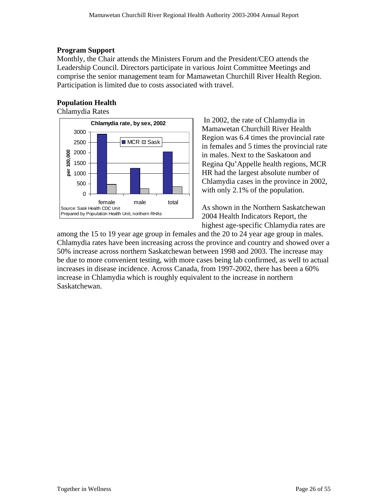### **Program Support**

Monthly, the Chair attends the Ministers Forum and the President/CEO attends the Leadership Council. Directors participate in various Joint Committee Meetings and comprise the senior management team for Mamawetan Churchill River Health Region. Participation is limited due to costs associated with travel.

### **Population Health**

Chlamydia Rates



 In 2002, the rate of Chlamydia in Mamawetan Churchill River Health Region was 6.4 times the provincial rate in females and 5 times the provincial rate in males. Next to the Saskatoon and Regina Qu'Appelle health regions, MCR HR had the largest absolute number of Chlamydia cases in the province in 2002, with only 2.1% of the population.

As shown in the Northern Saskatchewan 2004 Health Indicators Report, the highest age-specific Chlamydia rates are

among the 15 to 19 year age group in females and the 20 to 24 year age group in males. Chlamydia rates have been increasing across the province and country and showed over a 50% increase across northern Saskatchewan between 1998 and 2003. The increase may be due to more convenient testing, with more cases being lab confirmed, as well to actual increases in disease incidence. Across Canada, from 1997-2002, there has been a 60% increase in Chlamydia which is roughly equivalent to the increase in northern Saskatchewan.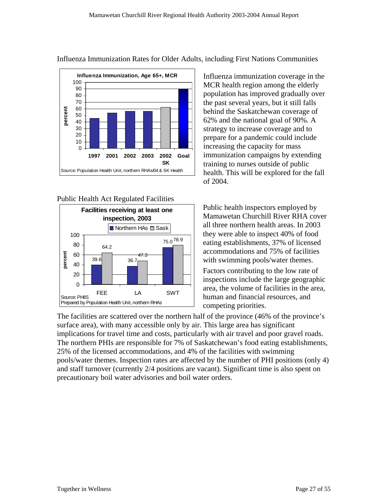

### Influenza Immunization Rates for Older Adults, including First Nations Communities





Influenza immunization coverage in the MCR health region among the elderly population has improved gradually over the past several years, but it still falls behind the Saskatchewan coverage of 62% and the national goal of 90%. A strategy to increase coverage and to prepare for a pandemic could include increasing the capacity for mass immunization campaigns by extending training to nurses outside of public health. This will be explored for the fall of 2004.

Public health inspectors employed by Mamawetan Churchill River RHA cover all three northern health areas. In 2003 they were able to inspect 40% of food eating establishments, 37% of licensed accommodations and 75% of facilities with swimming pools/water themes.

Factors contributing to the low rate of inspections include the large geographic area, the volume of facilities in the area, human and financial resources, and competing priorities.

The facilities are scattered over the northern half of the province (46% of the province's implications for travel time and costs, particularly with air travel and poor gravel roads. surface area), with many accessible only by air. This large area has significant The northern PHIs are responsible for 7% of Saskatchewan's food eating establishments, 25% of the licensed accommodations, and 4% of the facilities with swimming pools/water themes. Inspection rates are affected by the number of PHI positions (only 4) and staff turnover (currently 2/4 positions are vacant). Significant time is also spent on precautionary boil water advisories and boil water orders.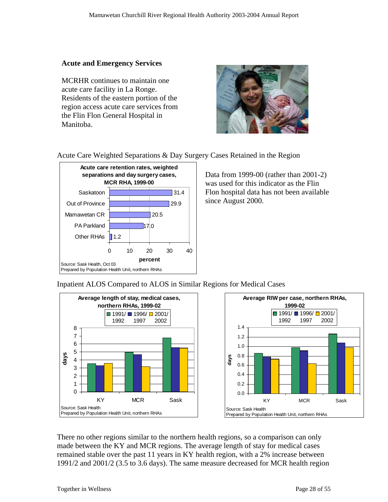### **Acute and Emergency Services**

MCRHR continues to maintain one acute care facility in La Ronge. Residents of the eastern portion of the region access acute care services from the Flin Flon General Hospital in Manitoba.



### Acute Care Weighted Separations & Day Surgery Cases Retained in the Region



Data from 1999-00 (rather than 2001-2) was used for this indicator as the Flin Flon hospital data has not been available since August 2000.

Inpatient ALOS Compared to ALOS in Similar Regions for Medical Cases



1991/2 and 2001/2 (3.5 to 3.6 days). The same measure decreased for MCR health region There no other regions similar to the northern health regions, so a comparison can only made between the KY and MCR regions. The average length of stay for medical cases remained stable over the past 11 years in KY health region, with a 2% increase between

2002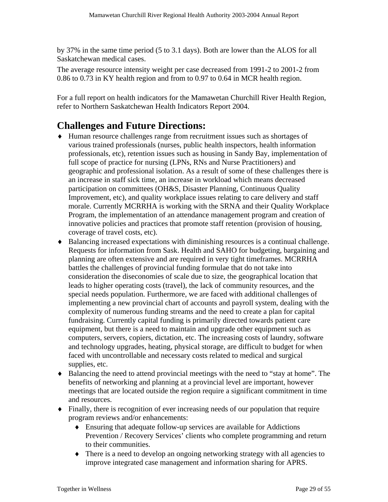<span id="page-28-0"></span>by 37% in the same time period (5 to 3.1 days). Both are lower than the ALOS for all Saskatchewan medical cases.

The average resource intensity weight per case decreased from 1991-2 to 2001-2 from 0.86 to 0.73 in KY health region and from to 0.97 to 0.64 in MCR health region.

For a full report on health indicators for the Mamawetan Churchill River Health Region, refer to Northern Saskatchewan Health Indicators Report 2004.

# **challenges and Future Directions:**

- Human resource challenges range from recruitment issues such as shortages of various trained professionals (nurses, public health inspectors, health information professionals, etc), retention issues such as housing in Sandy Bay, implementation of geographic and professional isolation. As a result of some of these challenges there is Improvement, etc), and quality workplace issues relating to care delivery and staff morale. Currently MCRRHA is working with the SRNA and their Quality Workplace full scope of practice for nursing (LPNs, RNs and Nurse Practitioners) and an increase in staff sick time, an increase in workload which means decreased participation on committees (OH&S, Disaster Planning, Continuous Quality Program, the implementation of an attendance management program and creation of innovative policies and practices that promote staff retention (provision of housing, coverage of travel costs, etc).
- $\bullet$  Balancing increased expectations with diminishing resources is a continual challenge. consideration the diseconomies of scale due to size, the geographical location that implementing a new provincial chart of accounts and payroll system, dealing with the computers, servers, copiers, dictation, etc. The increasing costs of laundry, software Requests for information from Sask. Health and SAHO for budgeting, bargaining and planning are often extensive and are required in very tight timeframes. MCRRHA battles the challenges of provincial funding formulae that do not take into leads to higher operating costs (travel), the lack of community resources, and the special needs population. Furthermore, we are faced with additional challenges of complexity of numerous funding streams and the need to create a plan for capital fundraising. Currently capital funding is primarily directed towards patient care equipment, but there is a need to maintain and upgrade other equipment such as and technology upgrades, heating, physical storage, are difficult to budget for when faced with uncontrollable and necessary costs related to medical and surgical supplies, etc.
- Balancing the need to attend provincial meetings with the need to "stay at home". The me meetings that are located outside the region require a significant commitment in ti benefits of networking and planning at a provincial level are important, however and resources.
- Finally, there is recognition of ever increasing needs of our population that require program reviews and/or enhancements:
	- $\bullet$  Ensuring that adequate follow-up services are available for Addictions Prevention / Recovery Services' clients who complete programming and return to their communities.
	- $\bullet$  There is a need to develop an ongoing networking strategy with all agencies to improve integrated case management and information sharing for APRS.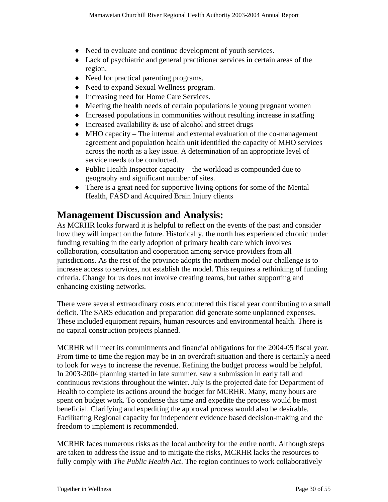- <span id="page-29-0"></span>♦ Need to evaluate and continue development of youth services.
- ♦ Lack of psychiatric and general practitioner services in certain areas of the region.
- ♦ Need for practical parenting programs.
- Need to expand Sexual Wellness program.
- . ♦ Increasing need for Home Care Services
- Meeting the health needs of certain populations ie young pregnant women
- Increased populations in communities without resulting increase in staffing
- ♦ Increased availability & use of alcohol and street drugs
- agreement and population health unit identified the capacity of MHO services ♦ MHO capacity – The internal and external evaluation of the co-management across the north as a key issue. A determination of an appropriate level of service needs to be conducted.
- ♦ Public Health Inspector capacity the workload is compounded due to geography and significant number of sites.
- There is a great need for supportive living options for some of the Mental Health, FASD and Acquired Brain Injury clients

## **Manag ement Discussion and Analysis:**

how they will impact on the future. Historically, the north has experienced chronic under jurisdictions. As the rest of the province adopts the northern model our challenge is to increase access to services, not establish the model. This requires a rethinking of funding As MCRHR looks forward it is helpful to reflect on the events of the past and consider funding resulting in the early adoption of primary health care which involves collaboration, consultation and cooperation among service providers from all criteria. Change for us does not involve creating teams, but rather supporting and enhancing existing networks.

There were several extraordinary costs encountered this fiscal year contributing to a small deficit. The SARS education and preparation did generate some unplanned expenses. These included equipment repairs, human resources and environmental health. There is no capital construction projects planned.

MCRHR will meet its commitments and financial obligations for the 2004-05 fiscal year. From time to time the region may be in an overdraft situation and there is certainly a need Health to complete its actions around the budget for MCRHR. Many, many hours are Facilitating Regional capacity for independent evidence based decision-making and the to look for ways to increase the revenue. Refining the budget process would be helpful. In 2003-2004 planning started in late summer, saw a submission in early fall and continuous revisions throughout the winter. July is the projected date for Department of spent on budget work. To condense this time and expedite the process would be most beneficial. Clarifying and expediting the approval process would also be desirable. freedom to implement is recommended.

MCRHR faces numerous risks as the local authority for the entire north. Although steps are taken to address the issue and to mitigate the risks, MCRHR lacks the resources to fully comply with *The Public Health Act*. The region continues to work collaboratively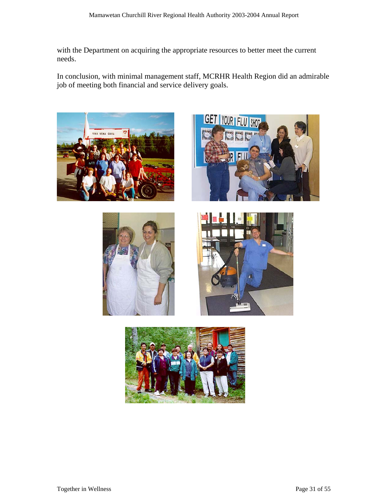with the Department on acquiring the appropriate resources to better meet the current needs.

In conclusion, with minimal management staff, MCRHR Health Region did an admirable job of meeting both financial and service delivery goals.









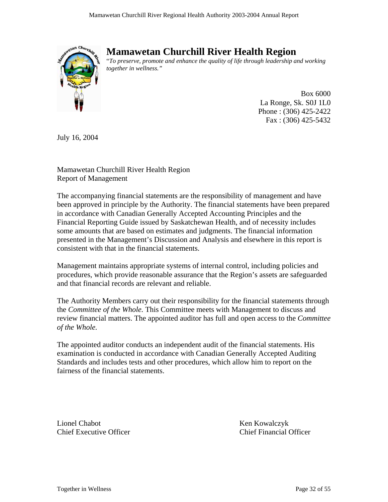<span id="page-31-0"></span>

# **Mamawetan Churchill River Health Region**

"*To preserve, promote and enhance the quality of life through leadership and working together in wellness."* 

> Box 6000 La Ronge, Sk. S0J 1L0 Phone : (306) 425-2422 Fax : (306) 425-5432

July 16, 2004

Mamawetan Churchill River Health Region Report of Management

The accompanying financial statements are the responsibility of management and have been approved in principle by the Authority. The financial statements have been prepared in accordance with Canadian Generally Accepted Accounting Principles and the Financial Reporting Guide issued by Saskatchewan Health, and of necessity includes some amounts that are based on estimates and judgments. The financial information presented in the Management's Discussion and Analysis and elsewhere in this report is consistent with that in the financial statements.

Management maintains appropriate systems of internal control, including policies and procedures, which provide reasonable assurance that the Region's assets are safeguarded and that financial records are relevant and reliable.

The Authority Members carry out their responsibility for the financial statements through the *Committee of the Whole.* This Committee meets with Management to discuss and review financial matters. The appointed auditor has full and open access to the *Committee of the Whole.*

The appointed auditor conducts an independent audit of the financial statements. His examination is conducted in accordance with Canadian Generally Accepted Auditing Standards and includes tests and other procedures, which allow him to report on the fairness of the financial statements.

Lionel Chabot Ken Kowalczyk Chief Executive Officer Chief Financial Officer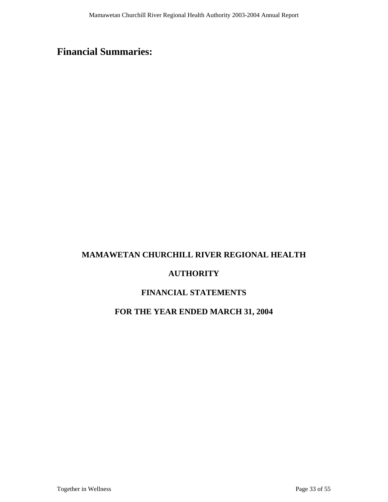# <span id="page-32-0"></span>**Financial Summaries:**

### **MAMAWETAN CHURCHILL RIVER REGIONAL HEALTH**

### **AUTHORITY**

### **FINANCIAL STATEMENTS**

### **FOR THE YEAR ENDED MARCH 31, 2004**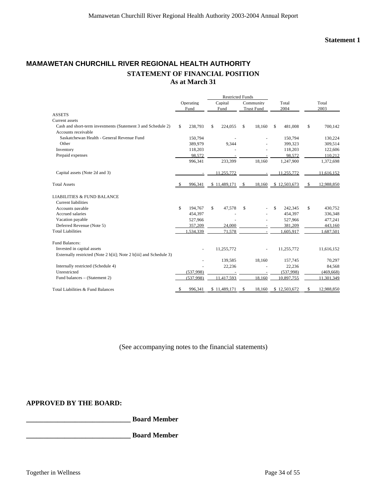### **MAMAWETAN CHURCHILL RIVER REGIONAL HEALTH AUTHORITY STATEMENT OF FINANCIAL POSITION As at March 31**

|                                                                    |                   |           | <b>Restricted Funds</b> |              |    |                   |      |              |    |            |
|--------------------------------------------------------------------|-------------------|-----------|-------------------------|--------------|----|-------------------|------|--------------|----|------------|
|                                                                    | Operating<br>Fund |           |                         | Capital      |    | Community         |      | Total        |    | Total      |
|                                                                    |                   |           |                         | Fund         |    | <b>Trust Fund</b> | 2004 |              |    | 2003       |
| <b>ASSETS</b>                                                      |                   |           |                         |              |    |                   |      |              |    |            |
| Current assets                                                     |                   |           |                         |              |    |                   |      |              |    |            |
| Cash and short-term investments (Statement 3 and Schedule 2)       | \$                | 238,793   | \$                      | 224,055      | \$ | 18,160            | \$   | 481,008      | \$ | 700,142    |
| Accounts receivable                                                |                   |           |                         |              |    |                   |      |              |    |            |
| Saskatchewan Health - General Revenue Fund                         |                   | 150,794   |                         |              |    |                   |      | 150,794      |    | 130,224    |
| Other                                                              |                   | 389,979   |                         | 9.344        |    |                   |      | 399.323      |    | 309,514    |
| Inventory                                                          |                   | 118,203   |                         |              |    |                   |      | 118,203      |    | 122,606    |
| Prepaid expenses                                                   |                   | 98,572    |                         |              |    |                   |      | 98,572       |    | 110,212    |
|                                                                    |                   | 996,341   |                         | 233,399      |    | 18,160            |      | 1,247,900    |    | 1,372,698  |
| Capital assets (Note 2d and 3)                                     |                   |           |                         | 11,255,772   |    |                   |      | 11,255,772   |    | 11,616,152 |
| <b>Total Assets</b>                                                | S.                | 996,341   |                         | \$11,489,171 | \$ | 18,160            |      | \$12,503,673 | -S | 12,988,850 |
| <b>LIABILITIES &amp; FUND BALANCE</b>                              |                   |           |                         |              |    |                   |      |              |    |            |
| <b>Current liabilities</b>                                         |                   |           |                         |              |    |                   |      |              |    |            |
| Accounts payable                                                   | \$                | 194,767   | \$                      | 47,578       | \$ |                   | \$   | 242.345      | \$ | 430,752    |
| Accrued salaries                                                   |                   | 454,397   |                         |              |    |                   |      | 454.397      |    | 336,348    |
| Vacation payable                                                   |                   | 527,966   |                         |              |    |                   |      | 527,966      |    | 477,241    |
| Deferred Revenue (Note 5)                                          |                   | 357,209   |                         | 24,000       |    |                   |      | 381.209      |    | 443,160    |
| <b>Total Liabilities</b>                                           |                   | .534,339  |                         | 71,578       |    |                   |      | 1,605,917    |    | 1,687,501  |
| <b>Fund Balances:</b>                                              |                   |           |                         |              |    |                   |      |              |    |            |
| Invested in capital assets                                         |                   |           |                         | 11,255,772   |    |                   |      | 11,255,772   |    | 11,616,152 |
| Externally restricted (Note 2 b[ii]; Note 2 b[iii] and Schedule 3) |                   |           |                         |              |    |                   |      |              |    |            |
|                                                                    |                   |           |                         | 139,585      |    | 18,160            |      | 157,745      |    | 70,297     |
| Internally restricted (Schedule 4)                                 |                   |           |                         | 22,236       |    |                   |      | 22,236       |    | 84,568     |
| Unrestricted                                                       |                   | (537,998) |                         |              |    |                   |      | (537,998)    |    | (469, 668) |
| Fund balances – (Statement 2)                                      |                   | (537,998) |                         | 11,417,593   |    | 18.160            |      | 10,897,755   |    | 11,301,349 |
| Total Liabilities & Fund Balances                                  | \$                | 996.341   |                         | \$11,489,171 | \$ | 18,160            |      | \$12,503,672 | \$ | 12.988.850 |

(See accompanying notes to the financial statements)

#### **APPROVED BY THE BOARD:**

**\_\_\_\_\_\_\_\_\_\_\_\_\_\_\_\_\_\_\_\_\_\_\_\_\_\_\_\_\_\_ Board Member** 

**\_\_\_\_\_\_\_\_\_\_\_\_\_\_\_\_\_\_\_\_\_\_\_\_\_\_\_\_\_\_ Board Member**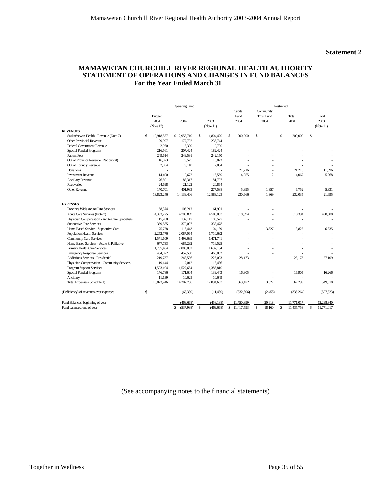#### **MAMAWETAN CHURCHILL RIVER REGIONAL HEALTH AUTHORITY STATEMENT OF OPERATIONS AND CHANGES IN FUND BALANCES For the Year Ended March 31**

|                                                 |                  | <b>Operating Fund</b> |     |            | Restricted |                         |    |                                        |    |               |               |
|-------------------------------------------------|------------------|-----------------------|-----|------------|------------|-------------------------|----|----------------------------------------|----|---------------|---------------|
|                                                 | Budget<br>2004   | 2004                  |     | 2003       |            | Capital<br>Fund<br>2004 |    | Community<br><b>Trust Fund</b><br>2004 |    | Total<br>2004 | Total<br>2003 |
|                                                 | (Note 13)        |                       |     | (Note 11)  |            |                         |    |                                        |    |               | (Note 11)     |
| <b>REVENUES</b>                                 |                  |                       |     |            |            |                         |    |                                        |    |               |               |
| Saskachewan Health - Revenue (Note 7)           | 12,918,877<br>\$ | \$12,953,710          | \$. | 11,804,420 | S          | 200,000                 | \$ |                                        | Ś. | 200,000       | \$            |
| Other Provincial Revenue                        | 129,997          | 177,702               |     | 236.744    |            |                         |    |                                        |    |               |               |
| Federal Government Revenue                      | 2,970            | 3,300                 |     | 2,790      |            |                         |    |                                        |    |               |               |
| <b>Special Funded Programs</b>                  | 216,561          | 207,424               |     | 182,424    |            |                         |    |                                        |    |               |               |
| <b>Patient Fees</b>                             | 249,614          | 249,591               |     | 242,150    |            |                         |    |                                        |    |               |               |
| Out of Province Revenue (Reciprocal)            | 16,873           | 19,525                |     | 16,873     |            |                         |    |                                        |    |               |               |
| Out of Country Revenue                          | 2.054            | 9.110                 |     | 2.054      |            |                         |    |                                        |    |               |               |
| Donations                                       |                  |                       |     |            |            | 21,216                  |    |                                        |    | 21,216        | 11,096        |
| <b>Investment Revenue</b>                       | 14.400           | 12,672                |     | 15,559     |            | 4.055                   |    | 12                                     |    | 4,067         | 5,268         |
| Ancillary Revenue                               | 76.501           | 83,317                |     | 81.707     |            |                         |    |                                        |    |               |               |
| Recoveries                                      | 24.698           | 21.122                |     | 20.864     |            |                         |    |                                        |    |               |               |
| <b>Other Revenue</b>                            | 170,701          | 401,933               |     | 277,538    |            | 5,395                   |    | 1.357                                  |    | 6,752         | 5.331         |
|                                                 | 13,823,246       | 14,139,406            |     | 12,883,123 |            | 230,666                 |    | 1.369                                  |    | 232,035       | 21,695        |
| <b>EXPENSES</b>                                 |                  |                       |     |            |            |                         |    |                                        |    |               |               |
| Province Wide Acute Care Services               | 68,374           | 106,212               |     | 61.901     |            |                         |    |                                        |    |               |               |
| Acute Care Services (Note 7)                    | 4,393,225        | 4,706,869             |     | 4,506,083  |            | 518,394                 |    |                                        |    | 518,394       | 498,808       |
| Physician Compensation - Acute Care Specialists | 115,200          | 132.117               |     | 105.527    |            |                         |    |                                        |    |               |               |
| <b>Supportive Care Services</b>                 | 359,585          | 372,007               |     | 338,478    |            |                         |    |                                        |    |               |               |
| Home Based Service - Supportive Care            | 175,778          | 116,443               |     | 104,139    |            |                         |    | 3,827                                  |    | 3,827         | 6,835         |
| <b>Population Health Services</b>               | 2,252,776        | 2,087,064             |     | 1,710,682  |            |                         |    |                                        |    |               |               |
| <b>Community Care Services</b>                  | 1,571,109        | 1.493.689             |     | 1.471.741  |            |                         |    |                                        |    |               |               |
| Home Based Services - Acute & Palliative        | 677,733          | 685,292               |     | 716,525    |            |                         |    |                                        |    |               |               |
| Primary Health Care Services                    | 1,735,484        | 2,080,032             |     | 1.637.134  |            |                         |    |                                        |    |               |               |
| <b>Emergency Response Services</b>              | 454,072          | 452,580               |     | 466,002    |            |                         |    |                                        |    |               |               |
| Addictions Services - Residential               | 219,737          | 248,536               |     | 226,003    |            | 28,173                  |    |                                        |    | 28,173        | 27,109        |
| Physician Compensation - Community Services     | 19,144           | 17,012                |     | 13,486     |            |                         |    |                                        |    |               |               |
| <b>Program Support Services</b>                 | 1,593,104        | 1,527,654             |     | 1,386,810  |            |                         |    |                                        |    |               |               |
| <b>Special Funded Programs</b>                  | 176,786          | 171,604               |     | 139,443    |            | 16,905                  |    |                                        |    | 16,905        | 16,266        |
| Ancillary                                       | 11,139           | 10,625                |     | 10,649     |            |                         |    |                                        |    |               |               |
| Total Expenses (Schedule 1)                     | 13,823,246       | 14,207,736            |     | 12,894,603 |            | 563,472                 |    | 3.827                                  |    | 567,299       | 549,018       |
| (Deficiency) of revenues over expenses          |                  | (68, 330)             |     | (11,480)   |            | (332,806)               |    | (2, 458)                               |    | (335, 264)    | (527, 323)    |
| Fund Balances, beginning of year                |                  | (469, 668)            |     | (458.188)  |            | 11.750.399              |    | 20.618                                 |    | 11.771.017    | 12,298,340    |
| Fund balances, end of year                      |                  | (537,998)             | \$  | (469, 668) | \$.        | 11,417,593              |    | 18,160                                 |    | 11,435,753    | 11,771,017    |

(See accompanying notes to the financial statements)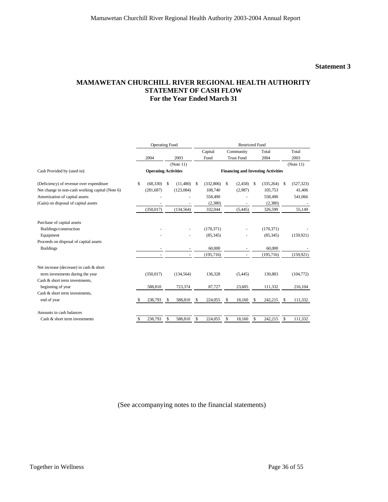#### **Statement 3**

#### **MAMAWETAN CHURCHILL RIVER REGIONAL HEALTH AUTHORITY STATEMENT OF CASH FLOW For the Year Ended March 31**

|                                                 |                             | <b>Operating Fund</b> |     |            | <b>Restricted Fund</b> |                               |    |                   |     |                                           |               |            |
|-------------------------------------------------|-----------------------------|-----------------------|-----|------------|------------------------|-------------------------------|----|-------------------|-----|-------------------------------------------|---------------|------------|
|                                                 |                             |                       |     |            |                        | Capital<br>Community<br>Total |    |                   |     | Total                                     |               |            |
|                                                 |                             | 2004                  |     | 2003       |                        | Fund                          |    | <b>Trust Fund</b> |     | 2004                                      |               | 2003       |
|                                                 |                             |                       |     | (Note 11)  |                        |                               |    |                   |     |                                           |               | (Note 11)  |
| Cash Provided by (used in):                     | <b>Operating Activities</b> |                       |     |            |                        |                               |    |                   |     | <b>Financing and Investing Activities</b> |               |            |
| (Deficiency) of revenue over expenditure        | \$                          | (68, 330)             | -S  | (11,480)   | -S                     | (332,806)                     | \$ | (2,458)           | -\$ | (335, 264)                                | <sup>\$</sup> | (527, 323) |
| Net change in non-cash working capital (Note 6) |                             | (281, 687)            |     | (123,084)  |                        | 108,740                       |    | (2,987)           |     | 105,753                                   |               | 41,406     |
| Amortization of capital assets                  |                             |                       |     |            |                        | 558,490                       |    |                   |     | 558,490                                   |               | 541,066    |
| (Gain) on disposal of capital assets            |                             |                       |     |            |                        | (2,380)                       |    |                   |     | (2,380)                                   |               |            |
|                                                 |                             | (350, 017)            |     | (134, 564) |                        | 332,044                       |    | (5, 445)          |     | 326,599                                   |               | 55,149     |
| Purchase of capital assets                      |                             |                       |     |            |                        |                               |    |                   |     |                                           |               |            |
| Buildings/construction                          |                             |                       |     |            |                        | (170, 371)                    |    |                   |     | (170, 371)                                |               |            |
| Equipment                                       |                             |                       |     |            |                        | (85, 345)                     |    |                   |     | (85, 345)                                 |               | (159, 921) |
| Proceeds on disposal of capital assets          |                             |                       |     |            |                        |                               |    |                   |     |                                           |               |            |
| <b>Buildings</b>                                |                             |                       |     |            |                        | 60,000                        |    |                   |     | 60,000                                    |               |            |
|                                                 |                             |                       |     |            |                        | (195, 716)                    |    |                   |     | (195, 716)                                |               | (159, 921) |
| Net increase (decrease) in cash & short         |                             |                       |     |            |                        |                               |    |                   |     |                                           |               |            |
| term investments during the year                |                             | (350, 017)            |     | (134, 564) |                        | 136,328                       |    | (5, 445)          |     | 130,883                                   |               | (104, 772) |
| Cash & short term investments,                  |                             |                       |     |            |                        |                               |    |                   |     |                                           |               |            |
| beginning of year                               |                             | 588,810               |     | 723,374    |                        | 87,727                        |    | 23,605            |     | 111,332                                   |               | 216,104    |
| Cash & short term investments,                  |                             |                       |     |            |                        |                               |    |                   |     |                                           |               |            |
| end of year                                     |                             | 238,793               | \$. | 588,810    | -S                     | 224,055                       | -S | 18,160            | -S  | 242,215                                   | S             | 111,332    |
| Amounts in cash balances                        |                             |                       |     |            |                        |                               |    |                   |     |                                           |               |            |
| Cash & short term investments                   | \$                          | 238,793               | \$  | 588,810    | \$                     | 224,055                       | \$ | 18,160            | -S  | 242,215                                   | \$            | 111,332    |

(See accompanying notes to the financial statements)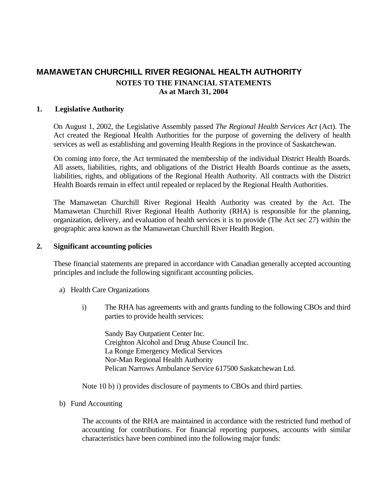#### **. Legislative Authority 1**

On August 1, 2002, the Legislative Assembly passed *The Regional Health Services Act* (Act). The Act created the Regional Health Authorities for the purpose of governing the delivery of health services as well as establishing and governing Health Regions in the province of Saskatchewan.

On coming into force, the Act terminated the membership of the individual District Health Boards. All assets, liabilities, rights, and obligations of the District Health Boards continue as the assets, liabilities, rights, and obligations of the Regional Health Authority. All contracts with the District Health Boards remain in effect until repealed or replaced by the Regional Health Authorities.

The Mamawetan Churchill River Regional Health Authority was created by the Act. The Mamawetan Churchill River Regional Health Authority (RHA) is responsible for the planning, organization, delivery, and evaluation of health services it is to provide (The Act sec 27) within the geographic area known as the Mamawetan Churchill River Health Region.

#### **. Significant accounting policies 2**

These financial statements are prepared in accordance with Canadian generally accepted accounting principles and include the following significant accounting policies.

- a) Health Care Organizations
	- i) The RHA has agreements with and grants funding to the following CBOs and third parties to provide health services:

Sandy Bay Outpatient Center Inc. Creighton Alcohol and Drug Abuse Council Inc. Pelican Narrows Ambulance Service 617500 Saskatchewan Ltd. La Ronge Emergency Medical Services Nor-Man Regional Health Authority

Note 10 b) i) provides disclosure of payments to CBOs and third parties.

#### b) Fund Accounting

The accounts of the RHA are maintained in accordance with the restricted fund method of accounting for contributions. For financial reporting purposes, accounts with similar characteristics have been combined into the following major funds: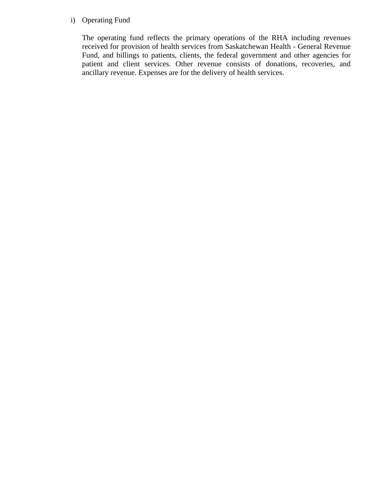### i) Operating Fund

The operating fund reflects the primary operations of the RHA including revenues received for provision of health services from Saskatchewan Health - General Revenue Fund, and billings to patients, clients, the federal government and other agencies for patient and client services. Other revenue consists of donations, recoveries, and ancillary revenue. Expenses are for the delivery of health services.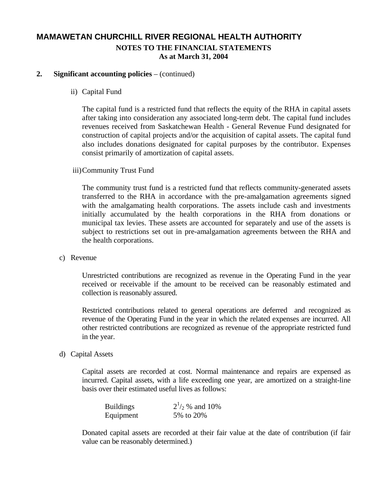### **2. Significant accounting policies** – (continued)

ii) Capital Fund

The capital fund is a restricted fund that reflects the equity of the RHA in capital assets after taking into consideration any associated long-term debt. The capital fund includes revenues received from Saskatchewan Health - General Revenue Fund designated for construction of capital projects and/or the acquisition of capital assets. The capital fund also includes donations designated for capital purposes by the contributor. Expenses consist primarily of amortization of capital assets.

iii) Community Trust Fund

The community trust fund is a restricted fund that reflects community-generated assets transferred to the RHA in accordance with the pre-amalgamation agreements signed with the amalgamating health corporations. The assets include cash and investments initially accumulated by the health corporations in the RHA from donations or municipal tax levies. These assets are accounted for separately and use of the assets is subject to restrictions set out in pre-amalgamation agreements between the RHA and the health corporations.

c) Revenue

Unrestricted contributions are recognized as revenue in the Operating Fund in the year received or receivable if the amount to be received can be reasonably estimated and collection is reasonably assured.

Restricted contributions related to general operations are deferred and recognized as revenue of the Operating Fund in the year in which the related expenses are incurred. All other restricted contributions are recognized as revenue of the appropriate restricted fund in the year.

d) Capital Assets

Capital assets are recorded at cost. Normal maintenance and repairs are expensed as incurred. Capital assets, with a life exceeding one year, are amortized on a straight-line basis over their estimated useful lives as follows:

| <b>Buildings</b> | $2^{1/2}$ % and 10% |
|------------------|---------------------|
| Equipment        | 5% to 20%           |

Donated capital assets are recorded at their fair value at the date of contribution (if fair value can be reasonably determined.)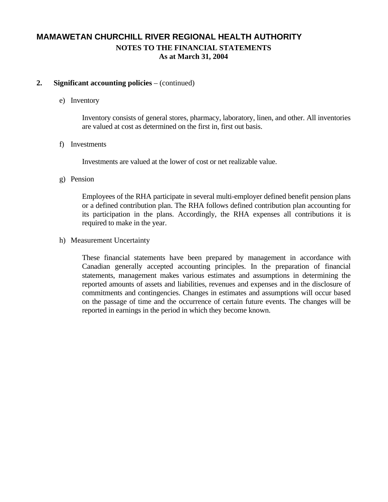### **2. Significant accounting policies** – (continued)

#### e) Inventory

Inventory consists of general stores, pharmacy, laboratory, linen, and other. All inventories are valued at cost as determined on the first in, first out basis.

#### f) Investments

Investments are valued at the lower of cost or net realizable value.

### g) Pension

Employees of the RHA participate in several multi-employer defined benefit pension plans or a defined contribution plan. The RHA follows defined contribution plan accounting for its participation in the plans. Accordingly, the RHA expenses all contributions it is required to make in the year.

### h) Measurement Uncertainty

These financial statements have been prepared by management in accordance with Canadian generally accepted accounting principles. In the preparation of financial statements, management makes various estimates and assumptions in determining the reported amounts of assets and liabilities, revenues and expenses and in the disclosure of commitments and contingencies. Changes in estimates and assumptions will occur based on the passage of time and the occurrence of certain future events. The changes will be reported in earnings in the period in which they become known.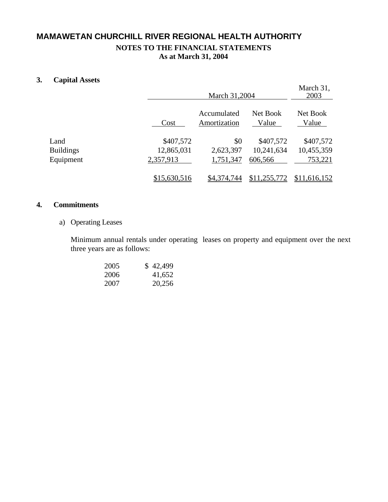### **3. Capital Assets**

|                  |              | March 31,2004               | March 31,<br>2003 |                   |
|------------------|--------------|-----------------------------|-------------------|-------------------|
|                  | Cost         | Accumulated<br>Amortization | Net Book<br>Value | Net Book<br>Value |
| Land             | \$407,572    | \$0                         | \$407,572         | \$407,572         |
| <b>Buildings</b> | 12,865,031   | 2,623,397                   | 10,241,634        | 10,455,359        |
| Equipment        | 2,357,913    | 1,751,347                   | 606,566           | 753,221           |
|                  | \$15,630,516 | \$4,374,744                 | \$11,255,772      | \$11,616,152      |

### **4. Commitments**

a) Operating Leases

Minimum annual rentals under operating leases on property and equipment over the next three years are as follows:

| 2005 | \$42,499 |
|------|----------|
| 2006 | 41,652   |
| 2007 | 20,256   |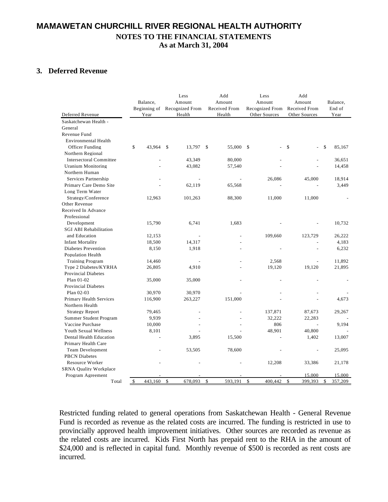### **3. Deferred Revenue**

| Deferred Revenue                                        | Balance,<br>Beginning of<br>Year | Less<br>Amount<br>Recognized From<br>Health | Add<br>Amount<br>Received From<br>Health | Less<br>Amount<br>Recognized From<br>Other Sources | Add<br>Amount<br>Received From<br>Other Sources | Balance,<br>End of<br>Year |
|---------------------------------------------------------|----------------------------------|---------------------------------------------|------------------------------------------|----------------------------------------------------|-------------------------------------------------|----------------------------|
| Saskatchewan Health -                                   |                                  |                                             |                                          |                                                    |                                                 |                            |
| General                                                 |                                  |                                             |                                          |                                                    |                                                 |                            |
| Revenue Fund                                            |                                  |                                             |                                          |                                                    |                                                 |                            |
| <b>Environmental Health</b>                             |                                  |                                             |                                          |                                                    |                                                 |                            |
| Officer Funding                                         | \$<br>43,964                     | S<br>13,797                                 | <sup>\$</sup><br>55,000 \$               |                                                    | \$                                              | \$<br>85.167               |
| Northern Regional                                       |                                  |                                             |                                          |                                                    |                                                 |                            |
| <b>Intersectoral Committee</b>                          |                                  | 43,349                                      | 80,000                                   |                                                    |                                                 | 36.651                     |
| <b>Uranium Monitoring</b>                               |                                  | 43,082                                      | 57,540                                   |                                                    |                                                 | 14,458                     |
| Northern Human                                          |                                  |                                             |                                          |                                                    |                                                 |                            |
| Services Partnership                                    |                                  |                                             |                                          | 26,086                                             | 45,000                                          | 18,914                     |
| Primary Care Demo Site                                  |                                  | 62,119                                      | 65,568                                   |                                                    |                                                 | 3,449                      |
| Long Term Water                                         |                                  |                                             |                                          |                                                    |                                                 |                            |
| Strategy/Conference                                     | 12,963                           | 101,263                                     | 88,300                                   | 11,000                                             | 11,000                                          |                            |
| Other Revenue                                           |                                  |                                             |                                          |                                                    |                                                 |                            |
| Received In Advance                                     |                                  |                                             |                                          |                                                    |                                                 |                            |
| Professional                                            |                                  |                                             |                                          |                                                    |                                                 |                            |
| Development                                             | 15,790                           | 6,741                                       | 1,683                                    |                                                    |                                                 | 10,732                     |
| <b>SGI ABI Rehabilitation</b>                           |                                  |                                             |                                          |                                                    |                                                 |                            |
| and Education                                           | 12.153                           |                                             |                                          | 109,660                                            | 123,729                                         | 26.222                     |
| <b>Infant Mortality</b>                                 | 18,500                           | 14,317                                      |                                          |                                                    |                                                 | 4,183                      |
| <b>Diabetes Prevention</b>                              | 8,150                            | 1,918                                       |                                          |                                                    |                                                 | 6,232                      |
| <b>Population Health</b>                                |                                  |                                             |                                          |                                                    |                                                 |                            |
| <b>Training Program</b>                                 | 14,460                           |                                             |                                          | 2,568                                              |                                                 | 11,892                     |
| Type 2 Diabetes/KYRHA                                   | 26,805                           | 4,910                                       |                                          | 19,120                                             | 19,120                                          | 21,895                     |
| <b>Provincial Diabetes</b>                              |                                  |                                             |                                          |                                                    |                                                 |                            |
| Plan 01-02                                              | 35,000                           | 35,000                                      |                                          |                                                    |                                                 |                            |
| <b>Provincial Diabetes</b>                              |                                  |                                             |                                          |                                                    |                                                 |                            |
| Plan 02-03                                              | 30,970                           | 30,970                                      |                                          |                                                    |                                                 |                            |
| Primary Health Services<br>Northern Health              | 116,900                          | 263,227                                     | 151,000                                  |                                                    |                                                 | 4,673                      |
|                                                         |                                  |                                             |                                          |                                                    |                                                 |                            |
| <b>Strategy Report</b>                                  | 79,465                           |                                             |                                          | 137,871<br>32,222                                  | 87,673                                          | 29,267                     |
| <b>Summer Student Program</b><br>Vaccine Purchase       | 9,939                            |                                             |                                          | 806                                                | 22,283                                          |                            |
| <b>Youth Sexual Wellness</b>                            | 10,000                           |                                             |                                          |                                                    |                                                 | 9,194                      |
| Dental Health Education                                 | 8,101<br>÷,                      | 3,895                                       | 15,500                                   | 48,901                                             | 40,800                                          |                            |
|                                                         |                                  |                                             |                                          |                                                    | 1,402                                           | 13,007                     |
| Primary Health Care                                     |                                  | 53,505                                      |                                          |                                                    |                                                 | 25,095                     |
| <b>Team Development</b>                                 |                                  |                                             | 78,600                                   |                                                    |                                                 |                            |
| <b>PBCN</b> Diabetes                                    |                                  |                                             |                                          |                                                    |                                                 |                            |
| <b>Resource Worker</b><br><b>SRNA Ouality Workplace</b> |                                  |                                             |                                          | 12,208                                             | 33,386                                          | 21,178                     |
|                                                         |                                  |                                             |                                          |                                                    | 15,000                                          | 15,000                     |
| Program Agreement<br>Total                              | 443,160<br>\$                    | \$<br>678,093                               | \$<br>593,191                            | \$<br>400,442                                      | \$<br>399.393                                   | \$<br>357,209              |
|                                                         |                                  |                                             |                                          |                                                    |                                                 |                            |

Restricted funding related to general operations from Saskatchewan Health - General Revenue Fund is recorded as revenue as the related costs are incurred. The funding is restricted in use to provincially approved health improvement initiatives. Other sources are recorded as revenue as the related costs are incurred. Kids First North has prepaid rent to the RHA in the amount of \$24,000 and is reflected in capital fund. Monthly revenue of \$500 is recorded as rent costs are incurred.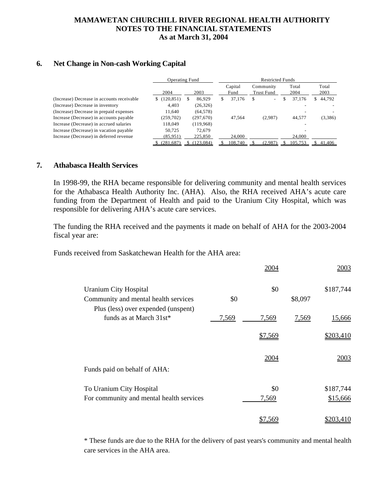### **6. Net Change in Non-cash Working Capital**

|                                            | <b>Operating Fund</b> | <b>Restricted Funds</b> |                 |  |                                |               |         |    |               |
|--------------------------------------------|-----------------------|-------------------------|-----------------|--|--------------------------------|---------------|---------|----|---------------|
|                                            | 2004<br>2003          |                         | Capital<br>Fund |  | Community<br><b>Trust Fund</b> | Total<br>2004 |         |    | Total<br>2003 |
| (Increase) Decrease in accounts receivable | (120, 851)<br>S.      | 86.929                  | 37,176<br>S     |  | $\overline{\phantom{a}}$       |               | 37,176  | S. | 44,792        |
| (Increase) Decrease in inventory           | 4.403                 | (26, 326)               |                 |  |                                |               |         |    |               |
| (Increase) Decrease in prepaid expenses    | 11.640                | (64, 578)               |                 |  |                                |               |         |    |               |
| Increase (Decrease) in accounts payable    | (259, 702)            | (297,670)               | 47.564          |  | (2,987)                        |               | 44.577  |    | (3,386)       |
| Increase (Decrease) in accrued salaries    | 118,049               | (119,968)               |                 |  |                                |               |         |    |               |
| Increase (Decrease) in vacation payable    | 50.725                | 72.679                  |                 |  |                                |               |         |    |               |
| Increase (Decrease) in deferred revenue    | (85,951)              | 225,850                 | 24,000          |  |                                |               | 24,000  |    |               |
|                                            | (281.687)             | (123.084)               | 108,740         |  | (2.987)                        |               | 105.753 |    | 41,406        |

#### **. Athabasca Health Services 7**

In 1998-99, the RHA became responsible for delivering community and mental health services for the Athabasca Health Authority Inc. (AHA). Also, the RHA received AHA's acute care funding from the Department of Health and paid to the Uranium City Hospital, which was responsible for delivering AHA's acute care services.

The funding the RHA received and the payments it made on behalf of AHA for the 2003-2004 fiscal year are:

Funds received from Saskatchewan Health for the AHA area:

|                                          |       | 2004    |         | 2003      |
|------------------------------------------|-------|---------|---------|-----------|
| <b>Uranium City Hospital</b>             |       | \$0     |         | \$187,744 |
| Community and mental health services     | \$0   |         | \$8,097 |           |
| Plus (less) over expended (unspent)      |       |         |         |           |
| funds as at March 31st*                  | 7,569 | 7,569   | 7,569   | 15,666    |
|                                          |       | \$7,569 |         | \$203,410 |
|                                          |       | 2004    |         | 2003      |
| Funds paid on behalf of AHA:             |       |         |         |           |
| To Uranium City Hospital                 |       | \$0     |         | \$187,744 |
| For community and mental health services |       | 7,569   |         | \$15,666  |
|                                          |       | \$7,569 |         | \$203,410 |

\* These funds are due to the RHA for the delivery of past years's community and mental health care services in the AHA area.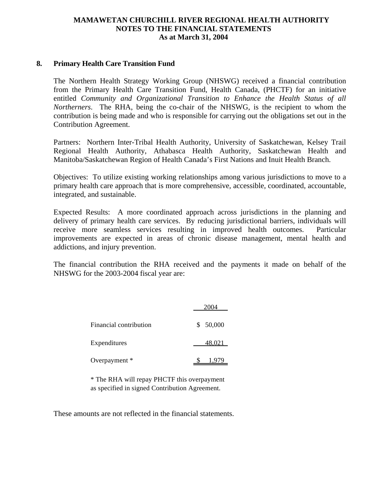#### **. Primary Health Care Transition Fund 8**

The Northern Health Strategy Working Group (NHSWG) received a financial contribution from the Primary Health Care Transition Fund, Health Canada, (PHCTF) for an initiative entitled *Community and Organizational Transition to Enhance the Health Status of all Northerners*. The RHA, being the co-chair of the NHSWG, is the recipient to whom the contribution is being made and who is responsible for carrying out the obligations set out in the Contribution Agreement.

Partners: Northern Inter-Tribal Health Authority, University of Saskatchewan, Kelsey Trail Regional Health Authority, Athabasca Health Authority, Saskatchewan Health and Manitoba/Saskatchewan Region of Health Canada's First Nations and Inuit Health Branch.

Objectives: To utilize existing working relationships among various jurisdictions to move to a primary health care approach that is more comprehensive, accessible, coordinated, accountable, integrated, and sustainable.

Expected Results: A more coordinated approach across jurisdictions in the planning and delivery of primary health care services. By reducing jurisdictional barriers, individuals will receive more seamless services resulting in improved health outcomes. Particular improvements are expected in areas of chronic disease management, mental health and addictions, and injury prevention.

The financial contribution the RHA received and the payments it made on behalf of the NHSWG for the 2003-2004 fiscal year are:

| Financial contribution | \$50,000 |
|------------------------|----------|
| Expenditures           | 48.021   |
| Overpayment *          | 1,979    |

\* The RHA will repay PHCTF this overpayment as specified in signed Contribution Agreement.

These amounts are not reflected in the financial statements.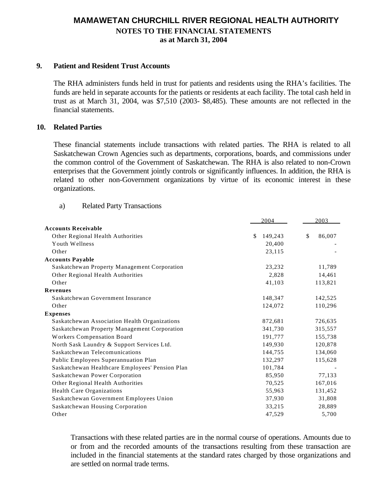### **9. Patient and Resident Trust Accounts**

The RHA administers funds held in trust for patients and residents using the RHA's facilities. The funds are held in separate accounts for the patients or residents at each facility. The total cash held in trust as at March 31, 2004, was \$7,510 (2003- \$8,485). These amounts are not reflected in the financial statements.

### **10. Related Parties**

These financial statements include transactions with related parties. The RHA is related to all Saskatchewan Crown Agencies such as departments, corporations, boards, and commissions under the common control of the Government of Saskatchewan. The RHA is also related to non-Crown enterprises that the Government jointly controls or significantly influences. In addition, the RHA is related to other non-Government organizations by virtue of its economic interest in these organizations.

#### a) Related Party Transactions

|                                                 | 2004          | 2003         |
|-------------------------------------------------|---------------|--------------|
| <b>Accounts Receivable</b>                      |               |              |
| Other Regional Health Authorities               | \$<br>149,243 | \$<br>86,007 |
| Youth Wellness                                  | 20,400        |              |
| Other                                           | 23,115        |              |
| <b>Accounts Payable</b>                         |               |              |
| Saskatchewan Property Management Corporation    | 23,232        | 11,789       |
| Other Regional Health Authorities               | 2,828         | 14,461       |
| Other                                           | 41,103        | 113,821      |
| <b>Revenues</b>                                 |               |              |
| Saskatchewan Government Insurance               | 148,347       | 142,525      |
| Other                                           | 124,072       | 110,296      |
| <b>Expenses</b>                                 |               |              |
| Saskatchewan Association Health Organizations   | 872,681       | 726,635      |
| Saskatchewan Property Management Corporation    | 341,730       | 315,557      |
| Workers Compensation Board                      | 191,777       | 155,738      |
| North Sask Laundry & Support Services Ltd.      | 149,930       | 120,878      |
| Saskatchewan Telecomunications                  | 144,755       | 134,060      |
| Public Employees Superannuation Plan            | 132,297       | 115,628      |
| Saskatchewan Healthcare Employees' Pension Plan | 101,784       |              |
| Saskatchewan Power Corporation                  | 85,950        | 77,133       |
| Other Regional Health Authorities               | 70,525        | 167,016      |
| <b>Health Care Organizations</b>                | 55,963        | 131,452      |
| Saskatchewan Government Employees Union         | 37,930        | 31,808       |
| Saskatchewan Housing Corporation                | 33,215        | 28,889       |
| Other                                           | 47,529        | 5,700        |

Transactions with these related parties are in the normal course of operations. Amounts due to or from and the recorded amounts of the transactions resulting from these transaction are included in the financial statements at the standard rates charged by those organizations and are settled on normal trade terms.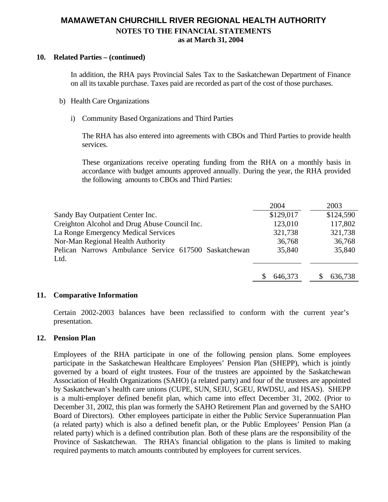### **10. Related Parties – (continued)**

In addition, the RHA pays Provincial Sales Tax to the Saskatchewan Department of Finance on all its taxable purchase. Taxes paid are recorded as part of the cost of those purchases.

- b) Health Care Organizations
	- i) Community Based Organizations and Third Parties

The RHA has also entered into agreements with CBOs and Third Parties to provide health services.

These organizations receive operating funding from the RHA on a monthly basis in accordance with budget amounts approved annually. During the year, the RHA provided the following amounts to CBOs and Third Parties:

|                                                       | 2004      | 2003      |
|-------------------------------------------------------|-----------|-----------|
| Sandy Bay Outpatient Center Inc.                      | \$129,017 | \$124,590 |
| Creighton Alcohol and Drug Abuse Council Inc.         | 123,010   | 117,802   |
| La Ronge Emergency Medical Services                   | 321,738   | 321,738   |
| Nor-Man Regional Health Authority                     | 36,768    | 36,768    |
| Pelican Narrows Ambulance Service 617500 Saskatchewan | 35,840    | 35,840    |
| Ltd.                                                  |           |           |
|                                                       |           |           |
|                                                       | 646,373   | 636,738   |

### **11. Comparative Information**

Certain 2002-2003 balances have been reclassified to conform with the current year's presentation.

### **12. Pension Plan**

Employees of the RHA participate in one of the following pension plans. Some employees participate in the Saskatchewan Healthcare Employees' Pension Plan (SHEPP), which is jointly governed by a board of eight trustees. Four of the trustees are appointed by the Saskatchewan Association of Health Organizations (SAHO) (a related party) and four of the trustees are appointed by Saskatchewan's health care unions (CUPE, SUN, SEIU, SGEU, RWDSU, and HSAS). SHEPP is a multi-employer defined benefit plan, which came into effect December 31, 2002. (Prior to December 31, 2002, this plan was formerly the SAHO Retirement Plan and governed by the SAHO Board of Directors). Other employees participate in either the Public Service Superannuation Plan (a related party) which is also a defined benefit plan, or the Public Employees' Pension Plan (a related party) which is a defined contribution plan. Both of these plans are the responsibility of the Province of Saskatchewan. The RHA's financial obligation to the plans is limited to making required payments to match amounts contributed by employees for current services.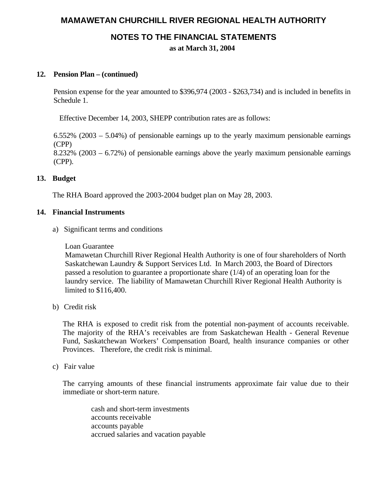# **MAMAWETAN CHURCHILL RIVER REGIONAL HEALTH AUTHORITY**

### **NOTES TO THE FINANCIAL STATEMENTS**

**as at March 31, 2004**

### **12. Pension Plan – (continued)**

Pension expense for the year amounted to \$396,974 (2003 - \$263,734) and is included in benefits in Schedule 1.

Effective December 14, 2003, SHEPP contribution rates are as follows:

6.552% (2003 – 5.04%) of pensionable earnings up to the yearly maximum pensionable earnings (CPP) 8.232% (2003 – 6.72%) of pensionable earnings above the yearly maximum pensionable earnings (CPP).

### **13. Budget**

The RHA Board approved the 2003-2004 budget plan on May 28, 2003.

### **14. Financial Instruments**

a) Significant terms and conditions

### Loan Guarantee

Mamawetan Churchill River Regional Health Authority is one of four shareholders of North Saskatchewan Laundry & Support Services Ltd. In March 2003, the Board of Directors passed a resolution to guarantee a proportionate share (1/4) of an operating loan for the laundry service. The liability of Mamawetan Churchill River Regional Health Authority is limited to \$116,400.

b) Credit risk

The RHA is exposed to credit risk from the potential non-payment of accounts receivable. The majority of the RHA's receivables are from Saskatchewan Health - General Revenue Fund, Saskatchewan Workers' Compensation Board, health insurance companies or other Provinces. Therefore, the credit risk is minimal.

c) Fair value

The carrying amounts of these financial instruments approximate fair value due to their immediate or short-term nature.

cash and short-term investments accounts receivable accounts payable accrued salaries and vacation payable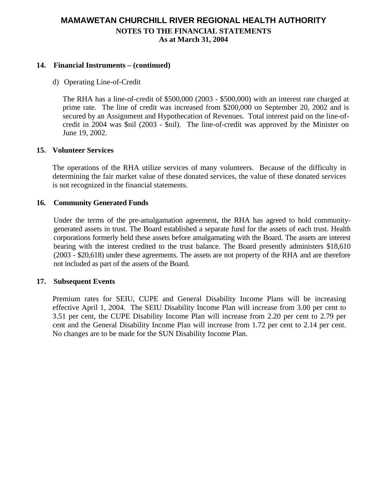### **14. Financial Instruments – (continued)**

d) Operating Line-of-Credit

The RHA has a line-of-credit of \$500,000 (2003 - \$500,000) with an interest rate charged at prime rate. The line of credit was increased from \$200,000 on September 20, 2002 and is secured by an Assignment and Hypothecation of Revenues. Total interest paid on the line-ofcredit in 2004 was \$nil (2003 - \$nil). The line-of-credit was approved by the Minister on June 19, 2002.

### **15. Volunteer Services**

The operations of the RHA utilize services of many volunteers. Because of the difficulty in determining the fair market value of these donated services, the value of these donated services is not recognized in the financial statements.

### **16. Community Generated Funds**

Under the terms of the pre-amalgamation agreement, the RHA has agreed to hold communitygenerated assets in trust. The Board established a separate fund for the assets of each trust. Health corporations formerly held these assets before amalgamating with the Board. The assets are interest bearing with the interest credited to the trust balance. The Board presently administers \$18,610 (2003 - \$20,618) under these agreements. The assets are not property of the RHA and are therefore not included as part of the assets of the Board.

### **17. Subsequent Events**

Premium rates for SEIU, CUPE and General Disability Income Plans will be increasing effective April 1, 2004. The SEIU Disability Income Plan will increase from 3.00 per cent to 3.51 per cent, the CUPE Disability Income Plan will increase from 2.20 per cent to 2.79 per cent and the General Disability Income Plan will increase from 1.72 per cent to 2.14 per cent. No changes are to be made for the SUN Disability Income Plan.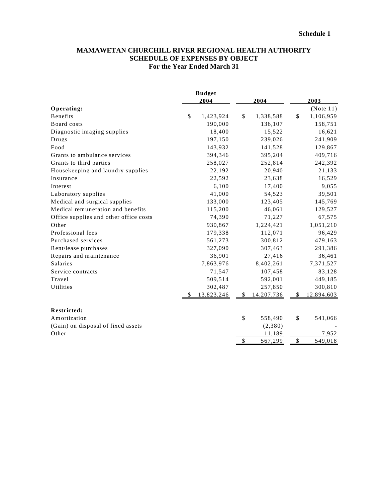### **MAMAWETAN CHURCHILL RIVER REGIONAL HEALTH AUTHORITY SCHEDULE OF EXPENSES BY OBJECT For the Year Ended March 31**

|                                        | <b>Budget</b>   |               |            |               |            |
|----------------------------------------|-----------------|---------------|------------|---------------|------------|
|                                        | 2004            |               | 2004       |               | 2003       |
| Operating:                             |                 |               |            |               | (Note 11)  |
| <b>Benefits</b>                        | \$<br>1,423,924 | \$            | 1,338,588  | \$            | 1,106,959  |
| Board costs                            | 190,000         |               | 136,107    |               | 158,751    |
| Diagnostic imaging supplies            | 18,400          |               | 15,522     |               | 16,621     |
| Drugs                                  | 197,150         |               | 239,026    |               | 241,909    |
| Food                                   | 143,932         |               | 141,528    |               | 129,867    |
| Grants to ambulance services           | 394,346         |               | 395,204    |               | 409,716    |
| Grants to third parties                | 258,027         |               | 252,814    |               | 242,392    |
| Housekeeping and laundry supplies      | 22,192          |               | 20,940     |               | 21,133     |
| Insurance                              | 22,592          |               | 23,638     |               | 16,529     |
| Interest                               | 6,100           |               | 17,400     |               | 9,055      |
| Laboratory supplies                    | 41,000          |               | 54,523     |               | 39,501     |
| Medical and surgical supplies          | 133,000         |               | 123,405    |               | 145,769    |
| Medical remuneration and benefits      | 115,200         |               | 46,061     |               | 129,527    |
| Office supplies and other office costs | 74,390          |               | 71,227     |               | 67,575     |
| Other                                  | 930,867         |               | 1,224,421  |               | 1,051,210  |
| Professional fees                      | 179,338         |               | 112,071    |               | 96,429     |
| Purchased services                     | 561,273         |               | 300,812    |               | 479,163    |
| Rent/lease purchases                   | 327,090         |               | 307,463    |               | 291,386    |
| Repairs and maintenance                | 36,901          |               | 27,416     |               | 36,461     |
| Salaries                               | 7,863,976       |               | 8,402,261  |               | 7,371,527  |
| Service contracts                      | 71,547          |               | 107,458    |               | 83,128     |
| Travel                                 | 509,514         |               | 592,001    |               | 449,185    |
| Utilities                              | 302,487         |               | 257,850    |               | 300,810    |
|                                        | 13,823,246      | $\mathcal{S}$ | 14,207,736 | $\mathcal{S}$ | 12,894,603 |
| <b>Restricted:</b>                     |                 |               |            |               |            |
| Amortization                           |                 | \$            | 558,490    | \$            | 541,066    |
| (Gain) on disposal of fixed assets     |                 |               | (2,380)    |               |            |
| Other                                  |                 |               | 11.189     |               | 7.952      |
|                                        |                 | $\mathcal{S}$ | 567,299    | $\mathcal{S}$ | 549,018    |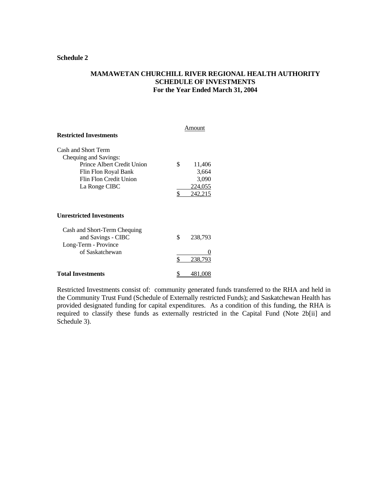#### **Schedule 2**

### **MAMAWETAN CHURCHILL RIVER REGIONAL HEALTH AUTHORITY SCHEDULE OF INVESTMENTS For the Year Ended March 31, 2004**

| <b>Restricted Investments</b>                                                                                                                 |          | Amount                                         |
|-----------------------------------------------------------------------------------------------------------------------------------------------|----------|------------------------------------------------|
| Cash and Short Term<br>Chequing and Savings:<br>Prince Albert Credit Union<br>Flin Flon Royal Bank<br>Flin Flon Credit Union<br>La Ronge CIBC | \$<br>\$ | 11,406<br>3,664<br>3,090<br>224,055<br>242.215 |
| <b>Unrestricted Investments</b>                                                                                                               |          |                                                |
| Cash and Short-Term Chequing<br>and Savings - CIBC<br>Long-Term - Province                                                                    | \$       | 238,793                                        |
| of Saskatchewan                                                                                                                               | \$       | 238,793                                        |
| Total Investments                                                                                                                             |          |                                                |

Restricted Investments consist of: community generated funds transferred to the RHA and held in the Community Trust Fund (Schedule of Externally restricted Funds); and Saskatchewan Health has provided designated funding for capital expenditures. As a condition of this funding, the RHA is required to classify these funds as externally restricted in the Capital Fund (Note 2b[ii] and Schedule 3).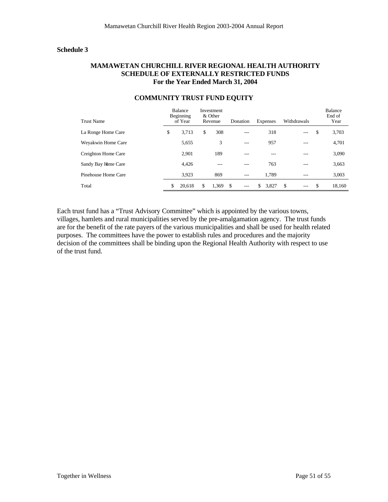#### **Schedule 3**

#### **MAMAWETAN CHURCHILL RIVER REGIONAL HEALTH AUTHORITY SCHEDULE OF EXTERNALLY RESTRICTED FUNDS For the Year Ended March 31, 2004**

| <b>Trust Name</b>   | Balance<br>Beginning<br>of Year | Investment<br>& Other<br>Revenue | Donation  | Expenses    | Withdrawals  | Balance<br>End of<br>Year |
|---------------------|---------------------------------|----------------------------------|-----------|-------------|--------------|---------------------------|
| La Ronge Home Care  | \$<br>3.713                     | \$<br>308                        | ---       | 318         | $---$        | \$<br>3.703               |
| Weyakwin Home Care  | 5,655                           | 3                                | ---       | 957         | ---          | 4,701                     |
| Creighton Home Care | 2.901                           | 189                              | ---       | ---         |              | 3,090                     |
| Sandy Bay Home Care | 4,426                           | ---                              | ---       | 763         | ---          | 3,663                     |
| Pinehouse Home Care | 3.923                           | 869                              | ---       | 1.789       | ---          | 3,003                     |
| Total               | \$<br>20.618                    | \$<br>1.369                      | \$<br>--- | 3,827<br>\$ | S<br>$- - -$ | \$<br>18.160              |

#### **COMMUNITY TRUST FUND EQUITY**

Each trust fund has a "Trust Advisory Committee" which is appointed by the various towns, villages, hamlets and rural municipalities served by the pre-amalgamation agency. The trust funds are for the benefit of the rate payers of the various municipalities and shall be used for health related purposes. The committees have the power to establish rules and procedures and the majority decision of the committees shall be binding upon the Regional Health Authority with respect to use of the trust fund.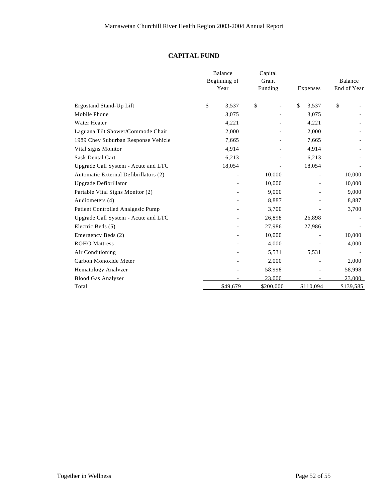### **CAPITAL FUND**

|                                       | Balance |              | Capital   |             |             |
|---------------------------------------|---------|--------------|-----------|-------------|-------------|
|                                       |         | Beginning of | Grant     |             | Balance     |
|                                       |         | Year         | Funding   | Expenses    | End of Year |
| Ergostand Stand-Up Lift               | \$      | 3,537        | \$        | \$<br>3,537 | \$          |
| Mobile Phone                          |         | 3,075        |           | 3,075       |             |
| Water Heater                          |         | 4,221        |           | 4,221       |             |
| Laguana Tilt Shower/Commode Chair     |         | 2,000        |           | 2,000       |             |
| 1989 Chev Suburban Response Vehicle   |         | 7,665        |           | 7,665       |             |
| Vital signs Monitor                   |         | 4,914        |           | 4,914       |             |
| <b>Sask Dental Cart</b>               |         | 6,213        |           | 6,213       |             |
| Upgrade Call System - Acute and LTC   |         | 18,054       |           | 18,054      |             |
| Automatic External Defibrillators (2) |         |              | 10,000    |             | 10,000      |
| Upgrade Defibrillator                 |         |              | 10,000    |             | 10,000      |
| Partable Vital Signs Monitor (2)      |         |              | 9,000     |             | 9,000       |
| Audiometers (4)                       |         |              | 8,887     |             | 8,887       |
| Patient Controlled Analgesic Pump     |         |              | 3,700     |             | 3,700       |
| Upgrade Call System - Acute and LTC   |         |              | 26,898    | 26,898      |             |
| Electric Beds (5)                     |         |              | 27,986    | 27,986      |             |
| Emergency Beds (2)                    |         |              | 10,000    |             | 10,000      |
| <b>ROHO</b> Mattress                  |         |              | 4,000     |             | 4,000       |
| Air Conditioning                      |         |              | 5,531     | 5,531       |             |
| Carbon Monoxide Meter                 |         |              | 2,000     |             | 2,000       |
| Hematology Analyzer                   |         |              | 58,998    |             | 58,998      |
| <b>Blood Gas Analyzer</b>             |         |              | 23,000    |             | 23,000      |
| Total                                 |         | \$49,679     | \$200,000 | \$110,094   | \$139,585   |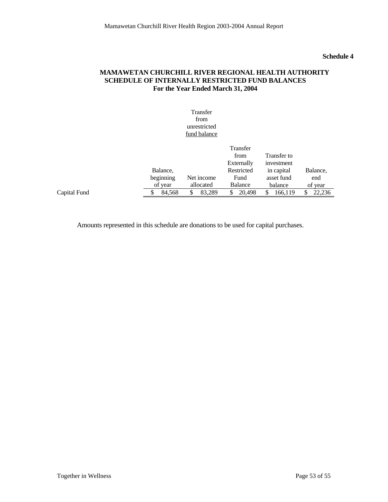### **Schedule 4**

### **MAMAWETAN CHURCHILL RIVER REGIONAL HEALTH AUTHORITY SCHEDULE OF INTERNALLY RESTRICTED FUND BALANCES For the Year Ended March 31, 2004**

|              |           | Transfer<br>from<br>unrestricted<br>fund balance |                                              |                                         |          |
|--------------|-----------|--------------------------------------------------|----------------------------------------------|-----------------------------------------|----------|
|              | Balance,  |                                                  | Transfer<br>from<br>Externally<br>Restricted | Transfer to<br>investment<br>in capital | Balance, |
|              | beginning | Net income                                       | Fund                                         | asset fund                              | end      |
|              | of year   | allocated                                        | Balance                                      | balance                                 | of year  |
| Capital Fund | \$        | 83,289                                           | 20,498                                       | \$                                      | 22,236   |
|              | 84,568    | \$                                               | \$                                           | 166,119                                 | \$       |

Amounts represented in this schedule are donations to be used for capital purchases.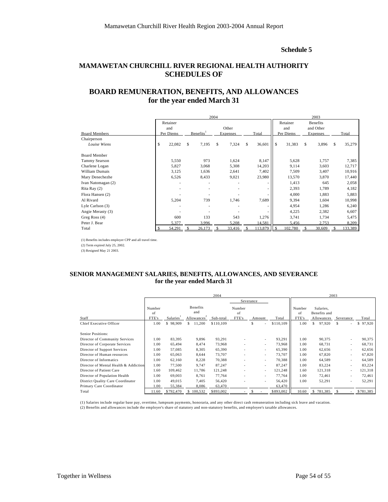#### **Schedule 5**

### **MAMAWETAN CHURCHILL RIVER REGIONAL HEALTH AUTHORITY SCHEDULES OF**

### **BOARD REMUNERATION, BENEFITS, AND ALLOWANCES for the year ended March 31**

|                       | 2004     |           |   |                       |     |          |   |         |               |           |           | 2003            |              |
|-----------------------|----------|-----------|---|-----------------------|-----|----------|---|---------|---------------|-----------|-----------|-----------------|--------------|
|                       | Retainer |           |   |                       |     |          |   |         |               | Retainer  |           | <b>Benefits</b> |              |
|                       |          | and       |   |                       |     | Other    |   |         |               | and       | and Other |                 |              |
| <b>Board Members</b>  |          | Per Diems |   | Benefits <sup>1</sup> |     | Expenses |   | Total   |               | Per Diems |           | Expenses        | Total        |
| Chairperson           |          |           |   |                       |     |          |   |         |               |           |           |                 |              |
| Louise Wiens          | \$       | 22,082    | S | 7,195                 | \$. | 7,324    | S | 36,601  | <sup>\$</sup> | 31,383    | \$        | 3,896           | \$<br>35,279 |
|                       |          |           |   |                       |     |          |   |         |               |           |           |                 |              |
| <b>Board Member</b>   |          |           |   |                       |     |          |   |         |               |           |           |                 |              |
| Tammy Searson         |          | 5,550     |   | 973                   |     | 1,624    |   | 8,147   |               | 5,628     |           | 1,757           | 7,385        |
| Charlene Logan        |          | 5,827     |   | 3,068                 |     | 5,308    |   | 14,203  |               | 9,114     |           | 3,603           | 12,717       |
| <b>William Dumais</b> |          | 3,125     |   | 1,636                 |     | 2,641    |   | 7,402   |               | 7,509     |           | 3,407           | 10,916       |
| Mary Denechezhe       |          | 6,526     |   | 8,433                 |     | 9,021    |   | 23,980  |               | 13,570    |           | 3,870           | 17,440       |
| Ivan Natomagan (2)    |          |           |   |                       |     |          |   |         |               | 1,413     |           | 645             | 2,058        |
| Rita Ray (2)          |          |           |   | ٠                     |     |          |   | ٠       |               | 2,393     |           | 1,789           | 4,182        |
| Flora Hansen (2)      |          |           |   |                       |     |          |   |         |               | 4,000     |           | 1,883           | 5,883        |
| Al Rivard             |          | 5,204     |   | 739                   |     | 1,746    |   | 7,689   |               | 9,394     |           | 1,604           | 10,998       |
| Lyle Carlson (3)      |          |           |   |                       |     |          |   | $\sim$  |               | 4,954     |           | 1,286           | 6,240        |
| Angie Merasty (3)     |          |           |   |                       |     |          |   |         |               | 4,225     |           | 2,382           | 6,607        |
| Greg Ross (4)         |          | 600       |   | 133                   |     | 543      |   | 1,276   |               | 3,741     |           | 1,734           | 5,475        |
| Peter J. Bear         |          | 5.377     |   | 3,996                 |     | 5,208    |   | 14,581  |               | 5,456     |           | 2,753           | 8,209        |
| Total                 |          | 54,291    |   | 26,173                |     | 33,416   |   | 113,879 |               | 102,780   |           | 30,609          | 133,389      |

(1) Benefits includes employer CPP and all travel time.

(2) Term expired July 25, 2002.

(3) Resigned May 21 2003.

#### **SENIOR MANAGEMENT SALARIES, BENEFITS, ALLOWANCES, AND SEVERANCE for the year ended March 31**

|                                       | 2004                  |                       |                                                   |           |                       |           |           |                       | 2003                                    |                          |           |
|---------------------------------------|-----------------------|-----------------------|---------------------------------------------------|-----------|-----------------------|-----------|-----------|-----------------------|-----------------------------------------|--------------------------|-----------|
|                                       |                       |                       |                                                   |           |                       | Severance |           |                       |                                         |                          |           |
| Staff                                 | Number<br>of<br>FTE's | Salaries <sup>'</sup> | <b>Benefits</b><br>and<br>Allowances <sup>*</sup> | Sub-total | Number<br>of<br>FTE's | Amount    | Total     | Number<br>of<br>FTE's | Salaries,<br>Benefits and<br>Allowances | Severance                | Total     |
| Chief Executive Officer               | 1.00                  | \$98,909              | 11,200                                            | \$110,109 |                       | S         | \$110,109 | 1.00                  | \$<br>97,920                            | \$                       | \$97,920  |
| Senior Positions:                     |                       |                       |                                                   |           |                       |           |           |                       |                                         |                          |           |
| Director of Community Services        | 1.00                  | 83,395                | 9,896                                             | 93,291    |                       | $\sim$    | 93,291    | 1.00                  | 90,375                                  | $\overline{\phantom{a}}$ | 90,375    |
| Director of Corporate Services        | 1.00                  | 65,494                | 8,474                                             | 73.968    |                       | $\sim$    | 73,968    | 1.00                  | 68,731                                  | $\overline{\phantom{a}}$ | 68,731    |
| Director of Support Services          | 1.00                  | 57,085                | 8,305                                             | 65,390    |                       | $\sim$    | 65,390    | 1.00                  | 62,656                                  | $\overline{\phantom{a}}$ | 62,656    |
| Director of Human resources           | 1.00                  | 65,063                | 8,644                                             | 73,707    |                       | $\sim$    | 73,707    | 1.00                  | 67,820                                  | $\overline{\phantom{a}}$ | 67,820    |
| Director of Informatics               | 1.00                  | 62,160                | 8,228                                             | 70,388    |                       | $\sim$    | 70,388    | 1.00                  | 64,589                                  | ٠                        | 64,589    |
| Director of Mental Health & Addiction | 1.00                  | 77,500                | 9,747                                             | 87.247    |                       |           | 87,247    | 1.00                  | 83,224                                  |                          | 83,224    |
| Director of Patient Care              | 1.60                  | 109,462               | 11,786                                            | 121,248   |                       | $\sim$    | 121,248   | 1.60                  | 121,318                                 |                          | 121,318   |
| Director of Population Health         | 1.00                  | 69,003                | 8,761                                             | 77,764    |                       | $\sim$    | 77,764    | 1.00                  | 72,461                                  | $\overline{\phantom{a}}$ | 72,461    |
| District Quality Care Coordinator     | 1.00                  | 49,015                | 7.405                                             | 56,420    |                       |           | 56.420    | 1.00                  | 52,291                                  | $\overline{\phantom{a}}$ | 52,291    |
| Primary Care Coordinator              | 1.00                  | 55,384                | 8,086                                             | 63,470    |                       |           | 63,470    |                       |                                         |                          |           |
| Total                                 | 11.60                 | \$792,470             | 100,532<br>\$.                                    | \$893,002 |                       |           | \$893,002 | 10.60                 | \$781,385                               |                          | \$781,385 |

(1) Salaries include regular base pay, overtime, lumpsum payments, honoraria, and any other direct cash remuneration including sick leave and vacation. (2) Benefits and allowances include the employer's share of statutory and non-statutory benefits, and employee's taxable allowances.